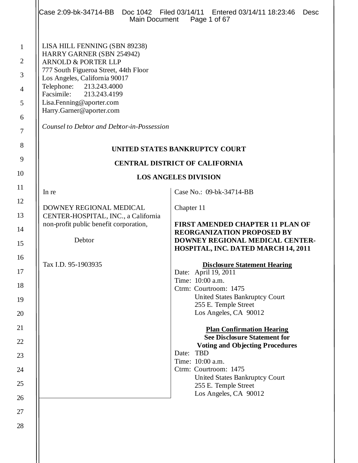| Main Document                                                                                                                                                                                                                                                                                                                      | Case 2:09-bk-34714-BB  Doc 1042  Filed 03/14/11  Entered 03/14/11 18:23:46<br>Desc<br>Page 1 of 67                                                                                                                                                                                                                                                                                                                                                                                                                                                                                                                                                                              |
|------------------------------------------------------------------------------------------------------------------------------------------------------------------------------------------------------------------------------------------------------------------------------------------------------------------------------------|---------------------------------------------------------------------------------------------------------------------------------------------------------------------------------------------------------------------------------------------------------------------------------------------------------------------------------------------------------------------------------------------------------------------------------------------------------------------------------------------------------------------------------------------------------------------------------------------------------------------------------------------------------------------------------|
| LISA HILL FENNING (SBN 89238)<br>HARRY GARNER (SBN 254942)<br><b>ARNOLD &amp; PORTER LLP</b><br>777 South Figueroa Street, 44th Floor<br>Los Angeles, California 90017<br>Telephone: 213.243.4000<br>Facsimile: 213.243.4199<br>Lisa.Fenning@aporter.com<br>Harry.Garner@aporter.com<br>Counsel to Debtor and Debtor-in-Possession | UNITED STATES BANKRUPTCY COURT<br><b>CENTRAL DISTRICT OF CALIFORNIA</b>                                                                                                                                                                                                                                                                                                                                                                                                                                                                                                                                                                                                         |
|                                                                                                                                                                                                                                                                                                                                    | <b>LOS ANGELES DIVISION</b>                                                                                                                                                                                                                                                                                                                                                                                                                                                                                                                                                                                                                                                     |
| In re<br>DOWNEY REGIONAL MEDICAL<br>CENTER-HOSPITAL, INC., a California<br>non-profit public benefit corporation,<br>Debtor<br>Tax I.D. 95-1903935                                                                                                                                                                                 | Case No.: 09-bk-34714-BB<br>Chapter 11<br><b>FIRST AMENDED CHAPTER 11 PLAN OF</b><br><b>REORGANIZATION PROPOSED BY</b><br>DOWNEY REGIONAL MEDICAL CENTER-<br>HOSPITAL, INC. DATED MARCH 14, 2011<br><b>Disclosure Statement Hearing</b><br>Date: April 19, 2011<br>Time: 10:00 a.m.<br>Ctrm: Courtroom: 1475<br><b>United States Bankruptcy Court</b><br>255 E. Temple Street<br>Los Angeles, CA 90012<br><b>Plan Confirmation Hearing</b><br><b>See Disclosure Statement for</b><br><b>Voting and Objecting Procedures</b><br>Date: TBD<br>Time: 10:00 a.m.<br>Ctrm: Courtroom: 1475<br><b>United States Bankruptcy Court</b><br>255 E. Temple Street<br>Los Angeles, CA 90012 |
|                                                                                                                                                                                                                                                                                                                                    |                                                                                                                                                                                                                                                                                                                                                                                                                                                                                                                                                                                                                                                                                 |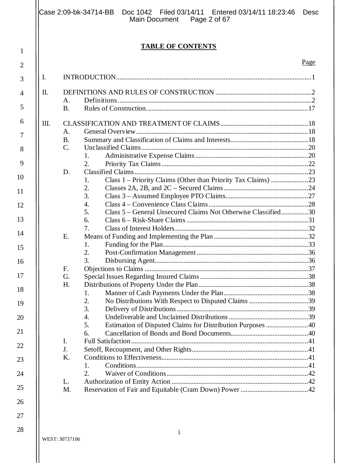|      |                 | <b>TABLE OF CONTENTS</b>                                            |      |
|------|-----------------|---------------------------------------------------------------------|------|
|      |                 |                                                                     | Page |
| I.   |                 |                                                                     |      |
| Π.   |                 |                                                                     |      |
|      | A.              |                                                                     |      |
|      | <b>B.</b>       |                                                                     |      |
| III. |                 |                                                                     |      |
|      | A.              |                                                                     |      |
|      | <b>B.</b>       |                                                                     |      |
|      | $\mathcal{C}$ . |                                                                     |      |
|      |                 | 1.<br>2.                                                            |      |
|      | D.              |                                                                     |      |
|      |                 | 1.                                                                  |      |
|      |                 | 2.                                                                  |      |
|      |                 | 3.                                                                  |      |
|      |                 | 4.                                                                  |      |
|      |                 | Class 5 - General Unsecured Claims Not Otherwise Classified30<br>5. |      |
|      |                 | 6.                                                                  |      |
|      |                 | 7.                                                                  |      |
|      | Ε.              |                                                                     |      |
|      |                 | 1.                                                                  |      |
|      |                 | 2.                                                                  |      |
|      |                 | 3.                                                                  |      |
|      | F.              |                                                                     |      |
|      | G.              |                                                                     |      |
|      | Η.              | 1.                                                                  |      |
|      |                 | 2.                                                                  |      |
|      |                 | 3.                                                                  |      |
|      |                 | 4.                                                                  |      |
|      |                 | Estimation of Disputed Claims for Distribution Purposes 40<br>5.    |      |
|      |                 | 6.                                                                  |      |
|      | I.              |                                                                     |      |
|      | J.              |                                                                     |      |
|      | Κ.              |                                                                     |      |
|      |                 | 1.                                                                  |      |
|      |                 | 2.                                                                  |      |
|      | L.              |                                                                     |      |
|      | M.              |                                                                     |      |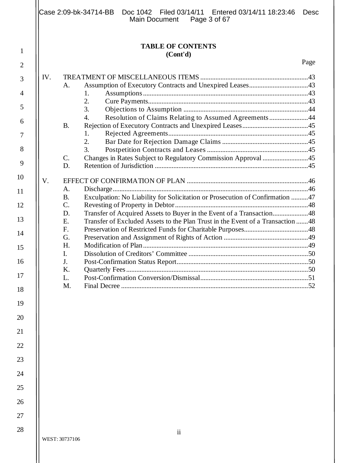|     | <b>TABLE OF CONTENTS</b>                                                                   |      |
|-----|--------------------------------------------------------------------------------------------|------|
|     | (Cont'd)                                                                                   | Page |
| IV. |                                                                                            |      |
|     | A.                                                                                         |      |
|     | 1.                                                                                         |      |
|     | 2.<br>3.                                                                                   |      |
|     | $\overline{4}$ .<br>Resolution of Claims Relating to Assumed Agreements44                  |      |
|     | <b>B.</b>                                                                                  |      |
|     | 1.                                                                                         |      |
|     | 2.                                                                                         |      |
|     | 3.                                                                                         |      |
|     | Changes in Rates Subject to Regulatory Commission Approval 45<br>$\mathbf{C}$ .            |      |
|     | D.                                                                                         |      |
| V.  |                                                                                            |      |
|     | A.                                                                                         |      |
|     | Exculpation: No Liability for Solicitation or Prosecution of Confirmation 47<br><b>B.</b>  |      |
|     | C.                                                                                         |      |
|     | Transfer of Acquired Assets to Buyer in the Event of a Transaction48<br>D.                 |      |
|     | Transfer of Excluded Assets to the Plan Trust in the Event of a Transaction 48<br>E.<br>F. |      |
|     | G.                                                                                         |      |
|     | H.                                                                                         |      |
|     | I.                                                                                         |      |
|     | J.                                                                                         |      |
|     | Κ.                                                                                         |      |
|     | L.                                                                                         |      |
|     | M.                                                                                         |      |
|     |                                                                                            |      |
|     |                                                                                            |      |
|     |                                                                                            |      |
|     |                                                                                            |      |
|     |                                                                                            |      |
|     |                                                                                            |      |
|     |                                                                                            |      |
|     |                                                                                            |      |
|     |                                                                                            |      |
|     |                                                                                            |      |
|     | $\mathbf{ii}$                                                                              |      |
|     | WEST: 30737106                                                                             |      |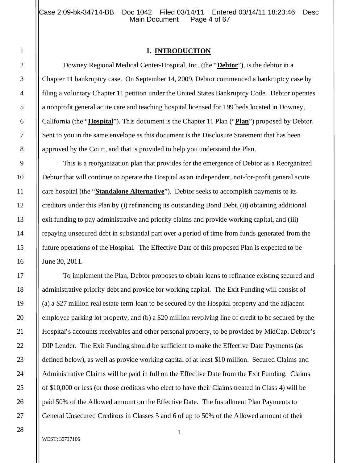# **I. INTRODUCTION**

Downey Regional Medical Center-Hospital, Inc. (the "**Debtor**"), is the debtor in a Chapter 11 bankruptcy case. On September 14, 2009, Debtor commenced a bankruptcy case by filing a voluntary Chapter 11 petition under the United States Bankruptcy Code. Debtor operates a nonprofit general acute care and teaching hospital licensed for 199 beds located in Downey, California (the "**Hospital**"). This document is the Chapter 11 Plan ("**Plan**") proposed by Debtor. Sent to you in the same envelope as this document is the Disclosure Statement that has been approved by the Court, and that is provided to help you understand the Plan.

This is a reorganization plan that provides for the emergence of Debtor as a Reorganized Debtor that will continue to operate the Hospital as an independent, not-for-profit general acute care hospital (the "**Standalone Alternative**"). Debtor seeks to accomplish payments to its creditors under this Plan by (i) refinancing its outstanding Bond Debt, (ii) obtaining additional exit funding to pay administrative and priority claims and provide working capital, and (iii) repaying unsecured debt in substantial part over a period of time from funds generated from the future operations of the Hospital. The Effective Date of this proposed Plan is expected to be June 30, 2011.

To implement the Plan, Debtor proposes to obtain loans to refinance existing secured and administrative priority debt and provide for working capital. The Exit Funding will consist of (a) a \$27 million real estate term loan to be secured by the Hospital property and the adjacent employee parking lot property, and (b) a \$20 million revolving line of credit to be secured by the Hospital's accounts receivables and other personal property, to be provided by MidCap, Debtor's DIP Lender. The Exit Funding should be sufficient to make the Effective Date Payments (as defined below), as well as provide working capital of at least \$10 million. Secured Claims and Administrative Claims will be paid in full on the Effective Date from the Exit Funding. Claims of \$10,000 or less (or those creditors who elect to have their Claims treated in Class 4) will be paid 50% of the Allowed amount on the Effective Date. The Installment Plan Payments to General Unsecured Creditors in Classes 5 and 6 of up to 50% of the Allowed amount of their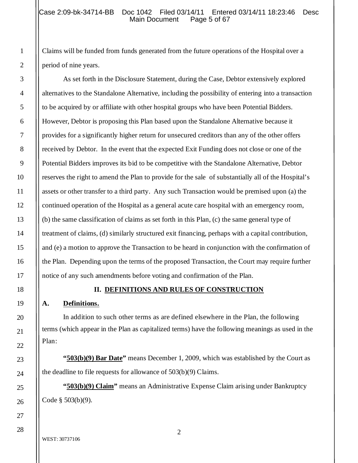# Case 2:09-bk-34714-BB Doc 1042 Filed 03/14/11 Entered 03/14/11 18:23:46 Desc<br>Main Document Page 5 of 67 Main Document

Claims will be funded from funds generated from the future operations of the Hospital over a period of nine years.

As set forth in the Disclosure Statement, during the Case, Debtor extensively explored alternatives to the Standalone Alternative, including the possibility of entering into a transaction to be acquired by or affiliate with other hospital groups who have been Potential Bidders. However, Debtor is proposing this Plan based upon the Standalone Alternative because it provides for a significantly higher return for unsecured creditors than any of the other offers received by Debtor. In the event that the expected Exit Funding does not close or one of the Potential Bidders improves its bid to be competitive with the Standalone Alternative, Debtor reserves the right to amend the Plan to provide for the sale of substantially all of the Hospital's assets or other transfer to a third party. Any such Transaction would be premised upon (a) the continued operation of the Hospital as a general acute care hospital with an emergency room, (b) the same classification of claims as set forth in this Plan, (c) the same general type of treatment of claims, (d) similarly structured exit financing, perhaps with a capital contribution, and (e) a motion to approve the Transaction to be heard in conjunction with the confirmation of the Plan. Depending upon the terms of the proposed Transaction, the Court may require further notice of any such amendments before voting and confirmation of the Plan.

# **II. DEFINITIONS AND RULES OF CONSTRUCTION**

# **A. Definitions.**

In addition to such other terms as are defined elsewhere in the Plan, the following terms (which appear in the Plan as capitalized terms) have the following meanings as used in the Plan:

**"503(b)(9) Bar Date"** means December 1, 2009, which was established by the Court as the deadline to file requests for allowance of 503(b)(9) Claims.

**"503(b)(9) Claim"** means an Administrative Expense Claim arising under Bankruptcy Code § 503(b)(9).

1

2

3

4

5

6

7

8

9

10

11

12

13

14

15

16

17

18

19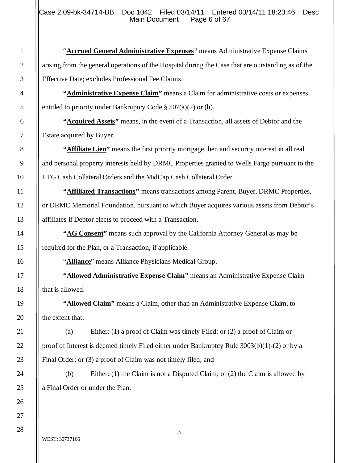"**Accrued General Administrative Expenses**" means Administrative Expense Claims arising from the general operations of the Hospital during the Case that are outstanding as of the Effective Date; excludes Professional Fee Claims.

**"Administrative Expense Claim"** means a Claim for administrative costs or expenses entitled to priority under Bankruptcy Code § 507(a)(2) or (b).

**"Acquired Assets"** means, in the event of a Transaction, all assets of Debtor and the Estate acquired by Buyer.

**"Affiliate Lien"** means the first priority mortgage, lien and security interest in all real and personal property interests held by DRMC Properties granted to Wells Fargo pursuant to the HFG Cash Collateral Orders and the MidCap Cash Collateral Order.

**"Affiliated Transactions"** means transactions among Parent, Buyer, DRMC Properties, or DRMC Memorial Foundation, pursuant to which Buyer acquires various assets from Debtor's affiliates if Debtor elects to proceed with a Transaction.

**"AG Consent"** means such approval by the California Attorney General as may be required for the Plan, or a Transaction, if applicable.

"**Alliance**" means Alliance Physicians Medical Group.

**"Allowed Administrative Expense Claim"** means an Administrative Expense Claim that is allowed.

**"Allowed Claim"** means a Claim, other than an Administrative Expense Claim, to the extent that:

(a) Either: (1) a proof of Claim was timely Filed; or (2) a proof of Claim or proof of Interest is deemed timely Filed either under Bankruptcy Rule 3003(b)(1)-(2) or by a Final Order; or (3) a proof of Claim was not timely filed; and

(b) Either: (1) the Claim is not a Disputed Claim; or (2) the Claim is allowed by a Final Order or under the Plan.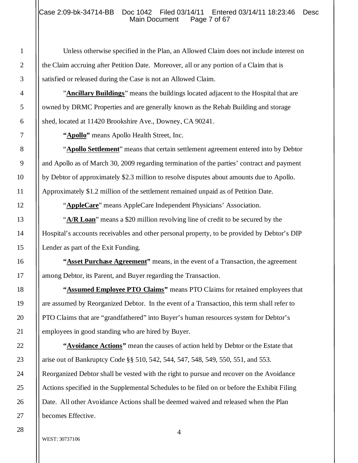# Case 2:09-bk-34714-BB Doc 1042 Filed 03/14/11 Entered 03/14/11 18:23:46 Desc<br>Main Document Page 7 of 67 Main Document

Unless otherwise specified in the Plan, an Allowed Claim does not include interest on the Claim accruing after Petition Date. Moreover, all or any portion of a Claim that is satisfied or released during the Case is not an Allowed Claim.

"**Ancillary Buildings**" means the buildings located adjacent to the Hospital that are owned by DRMC Properties and are generally known as the Rehab Building and storage shed, located at 11420 Brookshire Ave., Downey, CA 90241.

**"Apollo"** means Apollo Health Street, Inc.

"**Apollo Settlement**" means that certain settlement agreement entered into by Debtor and Apollo as of March 30, 2009 regarding termination of the parties' contract and payment by Debtor of approximately \$2.3 million to resolve disputes about amounts due to Apollo. Approximately \$1.2 million of the settlement remained unpaid as of Petition Date.

"**AppleCare**" means AppleCare Independent Physicians' Association.

"**A/R Loan**" means a \$20 million revolving line of credit to be secured by the Hospital's accounts receivables and other personal property, to be provided by Debtor's DIP Lender as part of the Exit Funding.

**"Asset Purchase Agreement"** means, in the event of a Transaction, the agreement among Debtor, its Parent, and Buyer regarding the Transaction.

**"Assumed Employee PTO Claims"** means PTO Claims for retained employees that are assumed by Reorganized Debtor. In the event of a Transaction, this term shall refer to PTO Claims that are "grandfathered" into Buyer's human resources system for Debtor's employees in good standing who are hired by Buyer.

**"Avoidance Actions"** mean the causes of action held by Debtor or the Estate that arise out of Bankruptcy Code §§ 510, 542, 544, 547, 548, 549, 550, 551, and 553. Reorganized Debtor shall be vested with the right to pursue and recover on the Avoidance Actions specified in the Supplemental Schedules to be filed on or before the Exhibit Filing Date. All other Avoidance Actions shall be deemed waived and released when the Plan becomes Effective.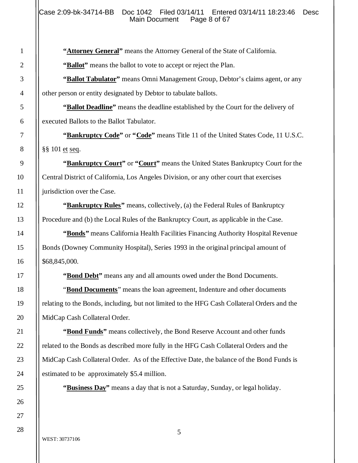**"Attorney General"** means the Attorney General of the State of California.

**"Ballot"** means the ballot to vote to accept or reject the Plan.

**"Ballot Tabulator"** means Omni Management Group, Debtor's claims agent, or any other person or entity designated by Debtor to tabulate ballots.

**"Ballot Deadline"** means the deadline established by the Court for the delivery of executed Ballots to the Ballot Tabulator.

**"Bankruptcy Code"** or **"Code"** means Title 11 of the United States Code, 11 U.S.C. §§ 101 et seq.

**"Bankruptcy Court"** or "**Court"** means the United States Bankruptcy Court for the Central District of California, Los Angeles Division, or any other court that exercises jurisdiction over the Case.

**"Bankruptcy Rules"** means, collectively, (a) the Federal Rules of Bankruptcy Procedure and (b) the Local Rules of the Bankruptcy Court, as applicable in the Case.

**"Bonds"** means California Health Facilities Financing Authority Hospital Revenue Bonds (Downey Community Hospital), Series 1993 in the original principal amount of \$68,845,000.

**"Bond Debt"** means any and all amounts owed under the Bond Documents.

"**Bond Documents**" means the loan agreement, Indenture and other documents relating to the Bonds, including, but not limited to the HFG Cash Collateral Orders and the MidCap Cash Collateral Order.

**"Bond Funds"** means collectively, the Bond Reserve Account and other funds related to the Bonds as described more fully in the HFG Cash Collateral Orders and the MidCap Cash Collateral Order. As of the Effective Date, the balance of the Bond Funds is estimated to be approximately \$5.4 million.

**"Business Day"** means a day that is not a Saturday, Sunday, or legal holiday.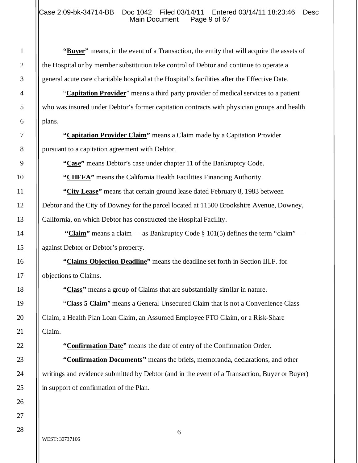**"Buyer"** means, in the event of a Transaction, the entity that will acquire the assets of the Hospital or by member substitution take control of Debtor and continue to operate a general acute care charitable hospital at the Hospital's facilities after the Effective Date.

"**Capitation Provider**" means a third party provider of medical services to a patient who was insured under Debtor's former capitation contracts with physician groups and health plans.

**"Capitation Provider Claim"** means a Claim made by a Capitation Provider pursuant to a capitation agreement with Debtor.

**"Case"** means Debtor's case under chapter 11 of the Bankruptcy Code.

**"CHFFA"** means the California Health Facilities Financing Authority.

**"City Lease"** means that certain ground lease dated February 8, 1983 between Debtor and the City of Downey for the parcel located at 11500 Brookshire Avenue, Downey, California, on which Debtor has constructed the Hospital Facility.

**"Claim"** means a claim — as Bankruptcy Code § 101(5) defines the term "claim" against Debtor or Debtor's property.

**"Claims Objection Deadline"** means the deadline set forth in Section III.F. for objections to Claims.

**"Class"** means a group of Claims that are substantially similar in nature.

"**Class 5 Claim**" means a General Unsecured Claim that is not a Convenience Class Claim, a Health Plan Loan Claim, an Assumed Employee PTO Claim, or a Risk-Share Claim.

**"Confirmation Date"** means the date of entry of the Confirmation Order.

**"Confirmation Documents"** means the briefs, memoranda, declarations, and other writings and evidence submitted by Debtor (and in the event of a Transaction, Buyer or Buyer) in support of confirmation of the Plan.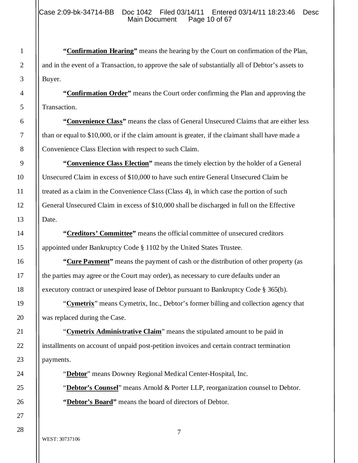**"Confirmation Hearing"** means the hearing by the Court on confirmation of the Plan, and in the event of a Transaction, to approve the sale of substantially all of Debtor's assets to Buyer.

**"Confirmation Order"** means the Court order confirming the Plan and approving the Transaction.

**"Convenience Class"** means the class of General Unsecured Claims that are either less than or equal to \$10,000, or if the claim amount is greater, if the claimant shall have made a Convenience Class Election with respect to such Claim.

**"Convenience Class Election"** means the timely election by the holder of a General Unsecured Claim in excess of \$10,000 to have such entire General Unsecured Claim be treated as a claim in the Convenience Class (Class 4), in which case the portion of such General Unsecured Claim in excess of \$10,000 shall be discharged in full on the Effective Date.

**"Creditors' Committee"** means the official committee of unsecured creditors appointed under Bankruptcy Code § 1102 by the United States Trustee.

**"Cure Payment"** means the payment of cash or the distribution of other property (as the parties may agree or the Court may order), as necessary to cure defaults under an executory contract or unexpired lease of Debtor pursuant to Bankruptcy Code § 365(b).

"**Cymetrix**" means Cymetrix, Inc., Debtor's former billing and collection agency that was replaced during the Case.

"**Cymetrix Administrative Claim**" means the stipulated amount to be paid in installments on account of unpaid post-petition invoices and certain contract termination payments.

"**Debtor**" means Downey Regional Medical Center-Hospital, Inc.

"**Debtor's Counsel**" means Arnold & Porter LLP, reorganization counsel to Debtor. **"Debtor's Board"** means the board of directors of Debtor.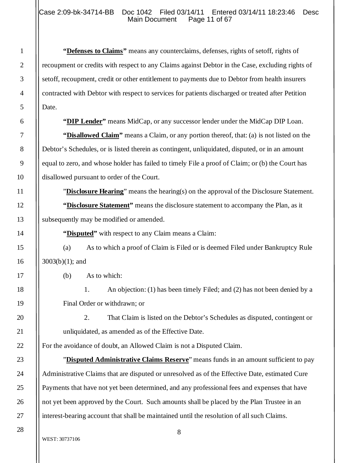**"Defenses to Claims"** means any counterclaims, defenses, rights of setoff, rights of recoupment or credits with respect to any Claims against Debtor in the Case, excluding rights of setoff, recoupment, credit or other entitlement to payments due to Debtor from health insurers contracted with Debtor with respect to services for patients discharged or treated after Petition Date.

**"DIP Lender"** means MidCap, or any successor lender under the MidCap DIP Loan.

**"Disallowed Claim"** means a Claim, or any portion thereof, that: (a) is not listed on the Debtor's Schedules, or is listed therein as contingent, unliquidated, disputed, or in an amount equal to zero, and whose holder has failed to timely File a proof of Claim; or (b) the Court has disallowed pursuant to order of the Court.

"**Disclosure Hearing**" means the hearing(s) on the approval of the Disclosure Statement.

**"Disclosure Statement"** means the disclosure statement to accompany the Plan, as it subsequently may be modified or amended.

**"Disputed"** with respect to any Claim means a Claim:

(a) As to which a proof of Claim is Filed or is deemed Filed under Bankruptcy Rule 3003(b)(1); and

(b) As to which:

1. An objection: (1) has been timely Filed; and (2) has not been denied by a Final Order or withdrawn; or

2. That Claim is listed on the Debtor's Schedules as disputed, contingent or unliquidated, as amended as of the Effective Date.

For the avoidance of doubt, an Allowed Claim is not a Disputed Claim.

"**Disputed Administrative Claims Reserve**" means funds in an amount sufficient to pay Administrative Claims that are disputed or unresolved as of the Effective Date, estimated Cure Payments that have not yet been determined, and any professional fees and expenses that have not yet been approved by the Court. Such amounts shall be placed by the Plan Trustee in an interest-bearing account that shall be maintained until the resolution of all such Claims.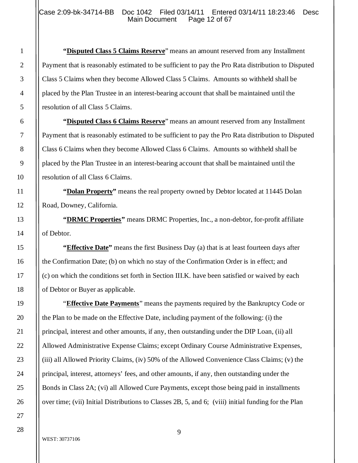**"Disputed Class 5 Claims Reserve**" means an amount reserved from any Installment Payment that is reasonably estimated to be sufficient to pay the Pro Rata distribution to Disputed Class 5 Claims when they become Allowed Class 5 Claims. Amounts so withheld shall be placed by the Plan Trustee in an interest-bearing account that shall be maintained until the resolution of all Class 5 Claims.

**"Disputed Class 6 Claims Reserve**" means an amount reserved from any Installment Payment that is reasonably estimated to be sufficient to pay the Pro Rata distribution to Disputed Class 6 Claims when they become Allowed Class 6 Claims. Amounts so withheld shall be placed by the Plan Trustee in an interest-bearing account that shall be maintained until the resolution of all Class 6 Claims.

**"Dolan Property"** means the real property owned by Debtor located at 11445 Dolan Road, Downey, California.

**"DRMC Properties"** means DRMC Properties, Inc., a non-debtor, for-profit affiliate of Debtor.

**"Effective Date"** means the first Business Day (a) that is at least fourteen days after the Confirmation Date; (b) on which no stay of the Confirmation Order is in effect; and (c) on which the conditions set forth in Section III.K. have been satisfied or waived by each of Debtor or Buyer as applicable.

"**Effective Date Payments**" means the payments required by the Bankruptcy Code or the Plan to be made on the Effective Date, including payment of the following: (i) the principal, interest and other amounts, if any, then outstanding under the DIP Loan, (ii) all Allowed Administrative Expense Claims; except Ordinary Course Administrative Expenses, (iii) all Allowed Priority Claims, (iv) 50% of the Allowed Convenience Class Claims; (v) the principal, interest, attorneys' fees, and other amounts, if any, then outstanding under the Bonds in Class 2A; (vi) all Allowed Cure Payments, except those being paid in installments over time; (vii) Initial Distributions to Classes 2B, 5, and 6; (viii) initial funding for the Plan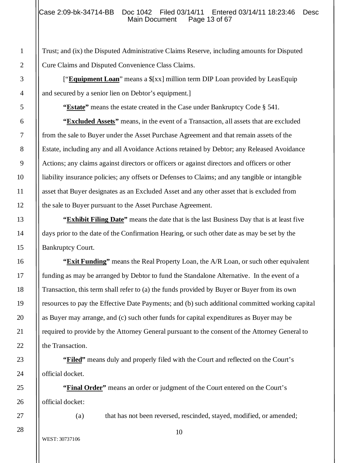Trust; and (ix) the Disputed Administrative Claims Reserve, including amounts for Disputed Cure Claims and Disputed Convenience Class Claims.

["**Equipment Loan**" means a \$[xx] million term DIP Loan provided by LeasEquip and secured by a senior lien on Debtor's equipment.]

**"Estate"** means the estate created in the Case under Bankruptcy Code § 541.

**"Excluded Assets"** means, in the event of a Transaction, all assets that are excluded from the sale to Buyer under the Asset Purchase Agreement and that remain assets of the Estate, including any and all Avoidance Actions retained by Debtor; any Released Avoidance Actions; any claims against directors or officers or against directors and officers or other liability insurance policies; any offsets or Defenses to Claims; and any tangible or intangible asset that Buyer designates as an Excluded Asset and any other asset that is excluded from the sale to Buyer pursuant to the Asset Purchase Agreement.

**"Exhibit Filing Date"** means the date that is the last Business Day that is at least five days prior to the date of the Confirmation Hearing, or such other date as may be set by the Bankruptcy Court.

**"Exit Funding"** means the Real Property Loan, the A/R Loan, or such other equivalent funding as may be arranged by Debtor to fund the Standalone Alternative. In the event of a Transaction, this term shall refer to (a) the funds provided by Buyer or Buyer from its own resources to pay the Effective Date Payments; and (b) such additional committed working capital as Buyer may arrange, and (c) such other funds for capital expenditures as Buyer may be required to provide by the Attorney General pursuant to the consent of the Attorney General to the Transaction.

**"Filed"** means duly and properly filed with the Court and reflected on the Court's official docket.

**"Final Order"** means an order or judgment of the Court entered on the Court's official docket:

(a) that has not been reversed, rescinded, stayed, modified, or amended;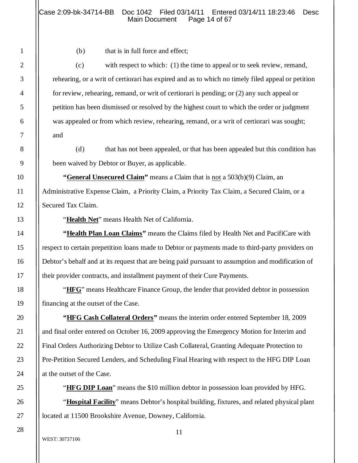# Case 2:09-bk-34714-BB Doc 1042 Filed 03/14/11 Entered 03/14/11 18:23:46 Desc<br>Main Document Page 14 of 67 Main Document

(b) that is in full force and effect;

(c) with respect to which: (1) the time to appeal or to seek review, remand, rehearing, or a writ of certiorari has expired and as to which no timely filed appeal or petition for review, rehearing, remand, or writ of certiorari is pending; or (2) any such appeal or petition has been dismissed or resolved by the highest court to which the order or judgment was appealed or from which review, rehearing, remand, or a writ of certiorari was sought; and

(d) that has not been appealed, or that has been appealed but this condition has been waived by Debtor or Buyer, as applicable.

**"General Unsecured Claim"** means a Claim that is not a 503(b)(9) Claim, an Administrative Expense Claim, a Priority Claim, a Priority Tax Claim, a Secured Claim, or a Secured Tax Claim.

"**Health Net**" means Health Net of California.

**"Health Plan Loan Claims"** means the Claims filed by Health Net and PacifiCare with respect to certain prepetition loans made to Debtor or payments made to third-party providers on Debtor's behalf and at its request that are being paid pursuant to assumption and modification of their provider contracts, and installment payment of their Cure Payments.

"**HFG**" means Healthcare Finance Group, the lender that provided debtor in possession financing at the outset of the Case.

**"HFG Cash Collateral Orders"** means the interim order entered September 18, 2009 and final order entered on October 16, 2009 approving the Emergency Motion for Interim and Final Orders Authorizing Debtor to Utilize Cash Collateral, Granting Adequate Protection to Pre-Petition Secured Lenders, and Scheduling Final Hearing with respect to the HFG DIP Loan at the outset of the Case.

"**HFG DIP Loan**" means the \$10 million debtor in possession loan provided by HFG.

"**Hospital Facility**" means Debtor's hospital building, fixtures, and related physical plant located at 11500 Brookshire Avenue, Downey, California.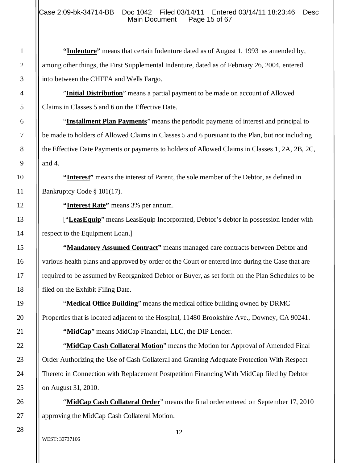**"Indenture"** means that certain Indenture dated as of August 1, 1993 as amended by, among other things, the First Supplemental Indenture, dated as of February 26, 2004, entered into between the CHFFA and Wells Fargo.

"**Initial Distribution**" means a partial payment to be made on account of Allowed Claims in Classes 5 and 6 on the Effective Date.

"**Installment Plan Payments**" means the periodic payments of interest and principal to be made to holders of Allowed Claims in Classes 5 and 6 pursuant to the Plan, but not including the Effective Date Payments or payments to holders of Allowed Claims in Classes 1, 2A, 2B, 2C, and 4.

**"Interest"** means the interest of Parent, the sole member of the Debtor, as defined in Bankruptcy Code § 101(17).

**"Interest Rate"** means 3% per annum.

["**LeasEquip**" means LeasEquip Incorporated, Debtor's debtor in possession lender with respect to the Equipment Loan.]

**"Mandatory Assumed Contract"** means managed care contracts between Debtor and various health plans and approved by order of the Court or entered into during the Case that are required to be assumed by Reorganized Debtor or Buyer, as set forth on the Plan Schedules to be filed on the Exhibit Filing Date.

"**Medical Office Building**" means the medical office building owned by DRMC Properties that is located adjacent to the Hospital, 11480 Brookshire Ave., Downey, CA 90241.

**"MidCap**" means MidCap Financial, LLC, the DIP Lender.

"**MidCap Cash Collateral Motion**" means the Motion for Approval of Amended Final Order Authorizing the Use of Cash Collateral and Granting Adequate Protection With Respect Thereto in Connection with Replacement Postpetition Financing With MidCap filed by Debtor on August 31, 2010.

"MidCap Cash Collateral Order" means the final order entered on September 17, 2010 approving the MidCap Cash Collateral Motion.

1

2

3

4

5

6

7

8

9

10

11

12

13

14

15

16

17

18

19

20

21

22

23

24

25

26

27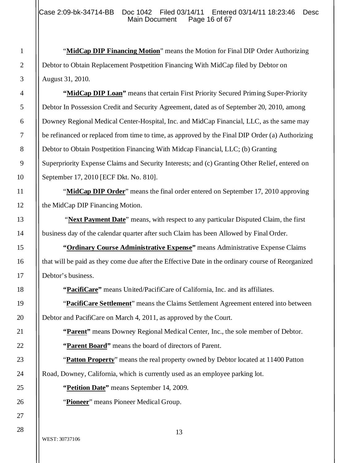"**MidCap DIP Financing Motion**" means the Motion for Final DIP Order Authorizing Debtor to Obtain Replacement Postpetition Financing With MidCap filed by Debtor on August 31, 2010.

"MidCap DIP Loan" means that certain First Priority Secured Priming Super-Priority Debtor In Possession Credit and Security Agreement, dated as of September 20, 2010, among Downey Regional Medical Center-Hospital, Inc. and MidCap Financial, LLC, as the same may be refinanced or replaced from time to time, as approved by the Final DIP Order (a) Authorizing Debtor to Obtain Postpetition Financing With Midcap Financial, LLC; (b) Granting Superpriority Expense Claims and Security Interests; and (c) Granting Other Relief, entered on September 17, 2010 [ECF Dkt. No. 810].

"**MidCap DIP Order**" means the final order entered on September 17, 2010 approving the MidCap DIP Financing Motion.

"**Next Payment Date**" means, with respect to any particular Disputed Claim, the first business day of the calendar quarter after such Claim has been Allowed by Final Order.

**"Ordinary Course Administrative Expense"** means Administrative Expense Claims that will be paid as they come due after the Effective Date in the ordinary course of Reorganized Debtor's business.

**"PacifiCare"** means United/PacifiCare of California, Inc. and its affiliates.

"**PacifiCare Settlement**" means the Claims Settlement Agreement entered into between Debtor and PacifiCare on March 4, 2011, as approved by the Court.

**"Parent"** means Downey Regional Medical Center, Inc., the sole member of Debtor.

**"Parent Board"** means the board of directors of Parent.

"**Patton Property**" means the real property owned by Debtor located at 11400 Patton Road, Downey, California, which is currently used as an employee parking lot.

**"Petition Date"** means September 14, 2009.

"**Pioneer**" means Pioneer Medical Group.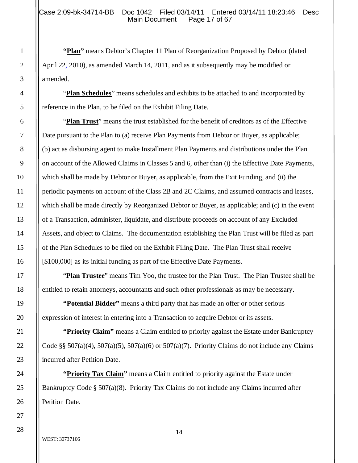# 1 2 3 4 5 6 7 8 amended.

**"Plan"** means Debtor's Chapter 11 Plan of Reorganization Proposed by Debtor (dated April 22, 2010), as amended March 14, 2011, and as it subsequently may be modified or

"**Plan Schedules**" means schedules and exhibits to be attached to and incorporated by reference in the Plan, to be filed on the Exhibit Filing Date.

"**Plan Trust**" means the trust established for the benefit of creditors as of the Effective Date pursuant to the Plan to (a) receive Plan Payments from Debtor or Buyer, as applicable; (b) act as disbursing agent to make Installment Plan Payments and distributions under the Plan on account of the Allowed Claims in Classes 5 and 6, other than (i) the Effective Date Payments, which shall be made by Debtor or Buyer, as applicable, from the Exit Funding, and (ii) the periodic payments on account of the Class 2B and 2C Claims, and assumed contracts and leases, which shall be made directly by Reorganized Debtor or Buyer, as applicable; and (c) in the event of a Transaction, administer, liquidate, and distribute proceeds on account of any Excluded Assets, and object to Claims. The documentation establishing the Plan Trust will be filed as part of the Plan Schedules to be filed on the Exhibit Filing Date. The Plan Trust shall receive [\$100,000] as its initial funding as part of the Effective Date Payments.

"**Plan Trustee**" means Tim Yoo, the trustee for the Plan Trust. The Plan Trustee shall be entitled to retain attorneys, accountants and such other professionals as may be necessary.

**"Potential Bidder"** means a third party that has made an offer or other serious expression of interest in entering into a Transaction to acquire Debtor or its assets.

**"Priority Claim"** means a Claim entitled to priority against the Estate under Bankruptcy Code §§ 507(a)(4), 507(a)(5), 507(a)(6) or 507(a)(7). Priority Claims do not include any Claims incurred after Petition Date.

**"Priority Tax Claim"** means a Claim entitled to priority against the Estate under Bankruptcy Code § 507(a)(8). Priority Tax Claims do not include any Claims incurred after Petition Date.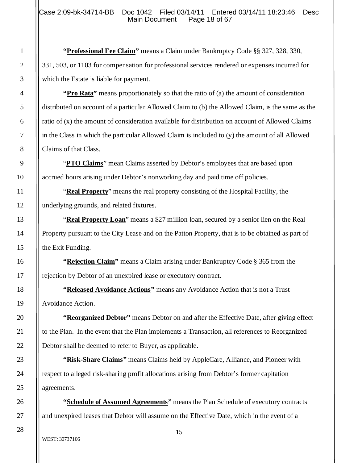**"Professional Fee Claim"** means a Claim under Bankruptcy Code §§ 327, 328, 330, 331, 503, or 1103 for compensation for professional services rendered or expenses incurred for which the Estate is liable for payment.

**"Pro Rata"** means proportionately so that the ratio of (a) the amount of consideration distributed on account of a particular Allowed Claim to (b) the Allowed Claim, is the same as the ratio of (x) the amount of consideration available for distribution on account of Allowed Claims in the Class in which the particular Allowed Claim is included to (y) the amount of all Allowed Claims of that Class.

"**PTO Claims**" mean Claims asserted by Debtor's employees that are based upon accrued hours arising under Debtor's nonworking day and paid time off policies.

"**Real Property**" means the real property consisting of the Hospital Facility, the underlying grounds, and related fixtures.

"**Real Property Loan**" means a \$27 million loan, secured by a senior lien on the Real Property pursuant to the City Lease and on the Patton Property, that is to be obtained as part of the Exit Funding.

**"Rejection Claim"** means a Claim arising under Bankruptcy Code § 365 from the rejection by Debtor of an unexpired lease or executory contract.

**"Released Avoidance Actions"** means any Avoidance Action that is not a Trust Avoidance Action.

**"Reorganized Debtor"** means Debtor on and after the Effective Date, after giving effect to the Plan. In the event that the Plan implements a Transaction, all references to Reorganized Debtor shall be deemed to refer to Buyer, as applicable.

**"Risk-Share Claims"** means Claims held by AppleCare, Alliance, and Pioneer with respect to alleged risk-sharing profit allocations arising from Debtor's former capitation agreements.

**"Schedule of Assumed Agreements"** means the Plan Schedule of executory contracts and unexpired leases that Debtor will assume on the Effective Date, which in the event of a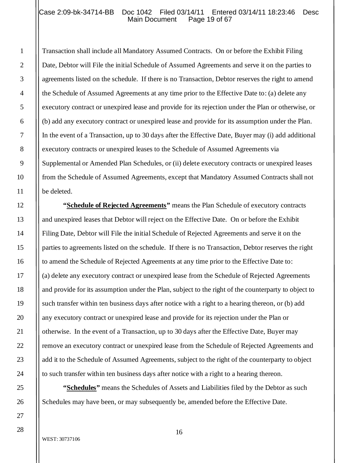# Case 2:09-bk-34714-BB Doc 1042 Filed 03/14/11 Entered 03/14/11 18:23:46 Desc<br>Main Document Page 19 of 67 Main Document

Transaction shall include all Mandatory Assumed Contracts. On or before the Exhibit Filing Date, Debtor will File the initial Schedule of Assumed Agreements and serve it on the parties to agreements listed on the schedule. If there is no Transaction, Debtor reserves the right to amend the Schedule of Assumed Agreements at any time prior to the Effective Date to: (a) delete any executory contract or unexpired lease and provide for its rejection under the Plan or otherwise, or (b) add any executory contract or unexpired lease and provide for its assumption under the Plan. In the event of a Transaction, up to 30 days after the Effective Date, Buyer may (i) add additional executory contracts or unexpired leases to the Schedule of Assumed Agreements via Supplemental or Amended Plan Schedules, or (ii) delete executory contracts or unexpired leases from the Schedule of Assumed Agreements, except that Mandatory Assumed Contracts shall not be deleted.

**"Schedule of Rejected Agreements"** means the Plan Schedule of executory contracts and unexpired leases that Debtor will reject on the Effective Date. On or before the Exhibit Filing Date, Debtor will File the initial Schedule of Rejected Agreements and serve it on the parties to agreements listed on the schedule. If there is no Transaction, Debtor reserves the right to amend the Schedule of Rejected Agreements at any time prior to the Effective Date to: (a) delete any executory contract or unexpired lease from the Schedule of Rejected Agreements and provide for its assumption under the Plan, subject to the right of the counterparty to object to such transfer within ten business days after notice with a right to a hearing thereon, or (b) add any executory contract or unexpired lease and provide for its rejection under the Plan or otherwise. In the event of a Transaction, up to 30 days after the Effective Date, Buyer may remove an executory contract or unexpired lease from the Schedule of Rejected Agreements and add it to the Schedule of Assumed Agreements, subject to the right of the counterparty to object to such transfer within ten business days after notice with a right to a hearing thereon.

**"Schedules"** means the Schedules of Assets and Liabilities filed by the Debtor as such Schedules may have been, or may subsequently be, amended before the Effective Date.

1

2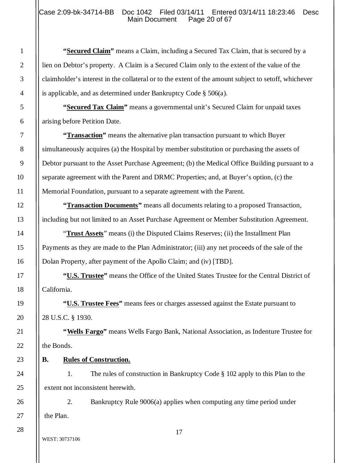# Case 2:09-bk-34714-BB Doc 1042 Filed 03/14/11 Entered 03/14/11 18:23:46 Desc<br>Main Document Page 20 of 67 Main Document

**"Secured Claim"** means a Claim, including a Secured Tax Claim, that is secured by a lien on Debtor's property. A Claim is a Secured Claim only to the extent of the value of the claimholder's interest in the collateral or to the extent of the amount subject to setoff, whichever is applicable, and as determined under Bankruptcy Code § 506(a).

**"Secured Tax Claim"** means a governmental unit's Secured Claim for unpaid taxes arising before Petition Date.

**"Transaction"** means the alternative plan transaction pursuant to which Buyer simultaneously acquires (a) the Hospital by member substitution or purchasing the assets of Debtor pursuant to the Asset Purchase Agreement; (b) the Medical Office Building pursuant to a separate agreement with the Parent and DRMC Properties; and, at Buyer's option, (c) the Memorial Foundation, pursuant to a separate agreement with the Parent.

**"Transaction Documents"** means all documents relating to a proposed Transaction, including but not limited to an Asset Purchase Agreement or Member Substitution Agreement.

"**Trust Assets**" means (i) the Disputed Claims Reserves; (ii) the Installment Plan Payments as they are made to the Plan Administrator; (iii) any net proceeds of the sale of the Dolan Property, after payment of the Apollo Claim; and (iv) [TBD].

**"U.S. Trustee"** means the Office of the United States Trustee for the Central District of California.

**"U.S. Trustee Fees"** means fees or charges assessed against the Estate pursuant to 28 U.S.C. § 1930.

**"Wells Fargo"** means Wells Fargo Bank, National Association, as Indenture Trustee for the Bonds.

# **B. Rules of Construction.**

1. The rules of construction in Bankruptcy Code § 102 apply to this Plan to the extent not inconsistent herewith.

2. Bankruptcy Rule 9006(a) applies when computing any time period under the Plan.

WEST: 30737106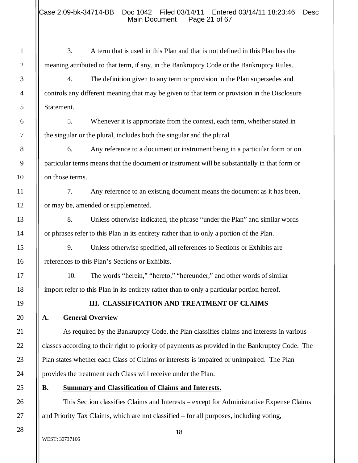3. A term that is used in this Plan and that is not defined in this Plan has the meaning attributed to that term, if any, in the Bankruptcy Code or the Bankruptcy Rules.

4. The definition given to any term or provision in the Plan supersedes and controls any different meaning that may be given to that term or provision in the Disclosure Statement.

5. Whenever it is appropriate from the context, each term, whether stated in the singular or the plural, includes both the singular and the plural.

6. Any reference to a document or instrument being in a particular form or on particular terms means that the document or instrument will be substantially in that form or on those terms.

7. Any reference to an existing document means the document as it has been, or may be, amended or supplemented.

8. Unless otherwise indicated, the phrase "under the Plan" and similar words or phrases refer to this Plan in its entirety rather than to only a portion of the Plan.

9. Unless otherwise specified, all references to Sections or Exhibits are references to this Plan's Sections or Exhibits.

10. The words "herein," "hereto," "hereunder," and other words of similar import refer to this Plan in its entirety rather than to only a particular portion hereof.

1

2

3

4

5

6

7

8

9

10

11

12

13

14

15

16

17

18

19

20

21

22

23

24

25

26

27

28

# **III. CLASSIFICATION AND TREATMENT OF CLAIMS**

# **A. General Overview**

As required by the Bankruptcy Code, the Plan classifies claims and interests in various classes according to their right to priority of payments as provided in the Bankruptcy Code. The Plan states whether each Class of Claims or interests is impaired or unimpaired. The Plan provides the treatment each Class will receive under the Plan.

# **B. Summary and Classification of Claims and Interests.**

This Section classifies Claims and Interests – except for Administrative Expense Claims and Priority Tax Claims, which are not classified – for all purposes, including voting,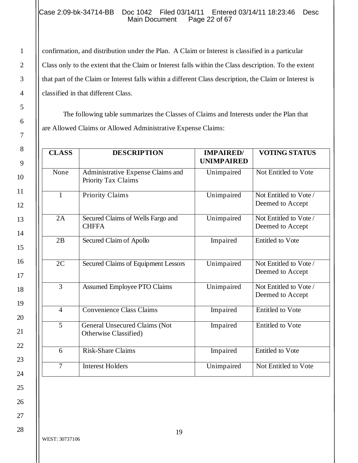# Case 2:09-bk-34714-BB Doc 1042 Filed 03/14/11 Entered 03/14/11 18:23:46 Desc<br>Main Document Page 22 of 67 Main Document

confirmation, and distribution under the Plan. A Claim or Interest is classified in a particular Class only to the extent that the Claim or Interest falls within the Class description. To the extent that part of the Claim or Interest falls within a different Class description, the Claim or Interest is classified in that different Class.

The following table summarizes the Classes of Claims and Interests under the Plan that are Allowed Claims or Allowed Administrative Expense Claims:

| <b>CLASS</b>   | <b>DESCRIPTION</b>                                       | <b>IMPAIRED/</b><br><b>UNIMPAIRED</b> | <b>VOTING STATUS</b>                       |
|----------------|----------------------------------------------------------|---------------------------------------|--------------------------------------------|
| None           | Administrative Expense Claims and<br>Priority Tax Claims | Unimpaired                            | Not Entitled to Vote                       |
| $\mathbf{1}$   | <b>Priority Claims</b>                                   | Unimpaired                            | Not Entitled to Vote /<br>Deemed to Accept |
| 2A             | Secured Claims of Wells Fargo and<br><b>CHFFA</b>        | Unimpaired                            | Not Entitled to Vote /<br>Deemed to Accept |
| 2B             | Secured Claim of Apollo                                  | Impaired                              | <b>Entitled</b> to Vote                    |
| 2C             | Secured Claims of Equipment Lessors                      | Unimpaired                            | Not Entitled to Vote /<br>Deemed to Accept |
| 3              | <b>Assumed Employee PTO Claims</b>                       | Unimpaired                            | Not Entitled to Vote /<br>Deemed to Accept |
| $\overline{4}$ | <b>Convenience Class Claims</b>                          | Impaired                              | <b>Entitled</b> to Vote                    |
| $\overline{5}$ | General Unsecured Claims (Not<br>Otherwise Classified)   | Impaired                              | <b>Entitled</b> to Vote                    |
| 6              | <b>Risk-Share Claims</b>                                 | Impaired                              | <b>Entitled</b> to Vote                    |
| $\overline{7}$ | <b>Interest Holders</b>                                  | Unimpaired                            | Not Entitled to Vote                       |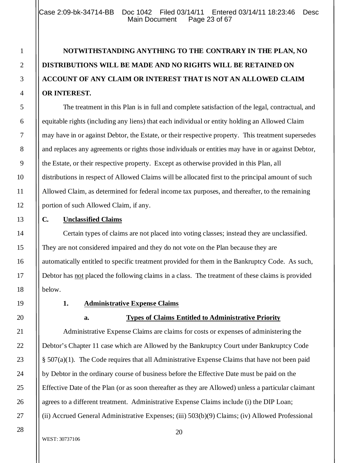# **NOTWITHSTANDING ANYTHING TO THE CONTRARY IN THE PLAN, NO DISTRIBUTIONS WILL BE MADE AND NO RIGHTS WILL BE RETAINED ON ACCOUNT OF ANY CLAIM OR INTEREST THAT IS NOT AN ALLOWED CLAIM OR INTEREST.**

The treatment in this Plan is in full and complete satisfaction of the legal, contractual, and equitable rights (including any liens) that each individual or entity holding an Allowed Claim may have in or against Debtor, the Estate, or their respective property. This treatment supersedes and replaces any agreements or rights those individuals or entities may have in or against Debtor, the Estate, or their respective property. Except as otherwise provided in this Plan, all distributions in respect of Allowed Claims will be allocated first to the principal amount of such Allowed Claim, as determined for federal income tax purposes, and thereafter, to the remaining portion of such Allowed Claim, if any.

# **C. Unclassified Claims**

Certain types of claims are not placed into voting classes; instead they are unclassified. They are not considered impaired and they do not vote on the Plan because they are automatically entitled to specific treatment provided for them in the Bankruptcy Code. As such, Debtor has not placed the following claims in a class. The treatment of these claims is provided below.

**1. Administrative Expense Claims**

# **a. Types of Claims Entitled to Administrative Priority**

Administrative Expense Claims are claims for costs or expenses of administering the Debtor's Chapter 11 case which are Allowed by the Bankruptcy Court under Bankruptcy Code § 507(a)(1). The Code requires that all Administrative Expense Claims that have not been paid by Debtor in the ordinary course of business before the Effective Date must be paid on the Effective Date of the Plan (or as soon thereafter as they are Allowed) unless a particular claimant agrees to a different treatment. Administrative Expense Claims include (i) the DIP Loan; (ii) Accrued General Administrative Expenses; (iii) 503(b)(9) Claims; (iv) Allowed Professional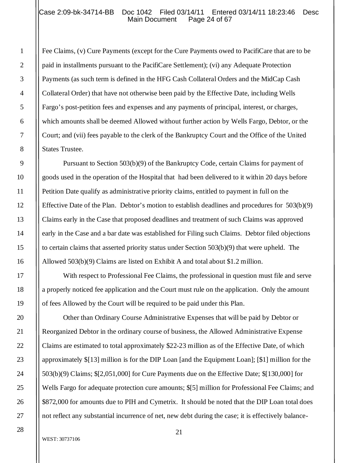# Case 2:09-bk-34714-BB Doc 1042 Filed 03/14/11 Entered 03/14/11 18:23:46 Desc<br>Main Document Page 24 of 67 Main Document

Fee Claims, (v) Cure Payments (except for the Cure Payments owed to PacifiCare that are to be paid in installments pursuant to the PacifiCare Settlement); (vi) any Adequate Protection Payments (as such term is defined in the HFG Cash Collateral Orders and the MidCap Cash Collateral Order) that have not otherwise been paid by the Effective Date, including Wells Fargo's post-petition fees and expenses and any payments of principal, interest, or charges, which amounts shall be deemed Allowed without further action by Wells Fargo, Debtor, or the Court; and (vii) fees payable to the clerk of the Bankruptcy Court and the Office of the United States Trustee.

Pursuant to Section 503(b)(9) of the Bankruptcy Code, certain Claims for payment of goods used in the operation of the Hospital that had been delivered to it within 20 days before Petition Date qualify as administrative priority claims, entitled to payment in full on the Effective Date of the Plan. Debtor's motion to establish deadlines and procedures for 503(b)(9) Claims early in the Case that proposed deadlines and treatment of such Claims was approved early in the Case and a bar date was established for Filing such Claims. Debtor filed objections to certain claims that asserted priority status under Section 503(b)(9) that were upheld. The Allowed 503(b)(9) Claims are listed on Exhibit A and total about \$1.2 million.

With respect to Professional Fee Claims, the professional in question must file and serve a properly noticed fee application and the Court must rule on the application. Only the amount of fees Allowed by the Court will be required to be paid under this Plan.

Other than Ordinary Course Administrative Expenses that will be paid by Debtor or Reorganized Debtor in the ordinary course of business, the Allowed Administrative Expense Claims are estimated to total approximately \$22-23 million as of the Effective Date, of which approximately \$[13] million is for the DIP Loan [and the Equipment Loan]; [\$1] million for the 503(b)(9) Claims; \$[2,051,000] for Cure Payments due on the Effective Date; \$[130,000] for Wells Fargo for adequate protection cure amounts; \$[5] million for Professional Fee Claims; and \$872,000 for amounts due to PIH and Cymetrix. It should be noted that the DIP Loan total does not reflect any substantial incurrence of net, new debt during the case; it is effectively balance-

1

2

3

4

5

6

7

8

9

10

11

12

13

14

15

16

17

18

19

20

21

22

23

24

25

26

27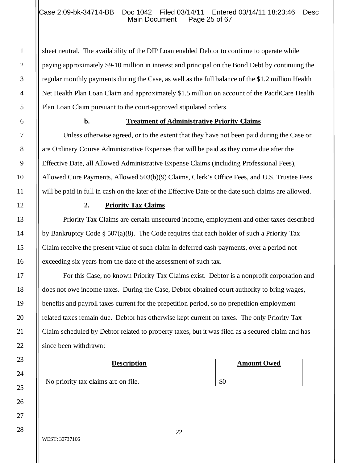sheet neutral. The availability of the DIP Loan enabled Debtor to continue to operate while paying approximately \$9-10 million in interest and principal on the Bond Debt by continuing the regular monthly payments during the Case, as well as the full balance of the \$1.2 million Health Net Health Plan Loan Claim and approximately \$1.5 million on account of the PacifiCare Health Plan Loan Claim pursuant to the court-approved stipulated orders.

# **b. Treatment of Administrative Priority Claims**

Unless otherwise agreed, or to the extent that they have not been paid during the Case or are Ordinary Course Administrative Expenses that will be paid as they come due after the Effective Date, all Allowed Administrative Expense Claims (including Professional Fees), Allowed Cure Payments, Allowed 503(b)(9) Claims, Clerk's Office Fees, and U.S. Trustee Fees will be paid in full in cash on the later of the Effective Date or the date such claims are allowed.

# **2. Priority Tax Claims**

Priority Tax Claims are certain unsecured income, employment and other taxes described by Bankruptcy Code § 507(a)(8). The Code requires that each holder of such a Priority Tax Claim receive the present value of such claim in deferred cash payments, over a period not exceeding six years from the date of the assessment of such tax.

For this Case, no known Priority Tax Claims exist. Debtor is a nonprofit corporation and does not owe income taxes. During the Case, Debtor obtained court authority to bring wages, benefits and payroll taxes current for the prepetition period, so no prepetition employment related taxes remain due. Debtor has otherwise kept current on taxes. The only Priority Tax Claim scheduled by Debtor related to property taxes, but it was filed as a secured claim and has since been withdrawn:

| <b>Description</b>                  | <b>Amount Owed</b> |
|-------------------------------------|--------------------|
| No priority tax claims are on file. | \$0                |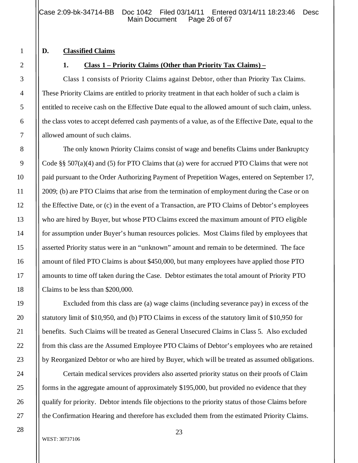# **D. Classified Claims**

# **1. Class 1 – Priority Claims (Other than Priority Tax Claims) –**

Class 1 consists of Priority Claims against Debtor, other than Priority Tax Claims. These Priority Claims are entitled to priority treatment in that each holder of such a claim is entitled to receive cash on the Effective Date equal to the allowed amount of such claim, unless. the class votes to accept deferred cash payments of a value, as of the Effective Date, equal to the allowed amount of such claims.

The only known Priority Claims consist of wage and benefits Claims under Bankruptcy Code §§ 507(a)(4) and (5) for PTO Claims that (a) were for accrued PTO Claims that were not paid pursuant to the Order Authorizing Payment of Prepetition Wages, entered on September 17, 2009; (b) are PTO Claims that arise from the termination of employment during the Case or on the Effective Date, or (c) in the event of a Transaction, are PTO Claims of Debtor's employees who are hired by Buyer, but whose PTO Claims exceed the maximum amount of PTO eligible for assumption under Buyer's human resources policies. Most Claims filed by employees that asserted Priority status were in an "unknown" amount and remain to be determined. The face amount of filed PTO Claims is about \$450,000, but many employees have applied those PTO amounts to time off taken during the Case. Debtor estimates the total amount of Priority PTO Claims to be less than \$200,000.

Excluded from this class are (a) wage claims (including severance pay) in excess of the statutory limit of \$10,950, and (b) PTO Claims in excess of the statutory limit of \$10,950 for benefits. Such Claims will be treated as General Unsecured Claims in Class 5. Also excluded from this class are the Assumed Employee PTO Claims of Debtor's employees who are retained by Reorganized Debtor or who are hired by Buyer, which will be treated as assumed obligations.

Certain medical services providers also asserted priority status on their proofs of Claim forms in the aggregate amount of approximately \$195,000, but provided no evidence that they qualify for priority. Debtor intends file objections to the priority status of those Claims before the Confirmation Hearing and therefore has excluded them from the estimated Priority Claims.

1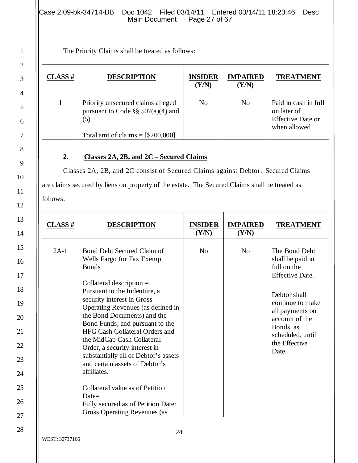Case 2:09-bk-34714-BB Doc 1042 Filed 03/14/11 Entered 03/14/11 18:23:46 Desc<br>Main Document Page 27 of 67 Main Document

The Priority Claims shall be treated as follows:

1

2

3

4

5

6

7

8

9

10

11

12

13

14

15

16

17

18

19

20

21

22

23

24

25

26

27

28

| $CLASS$ # | <b>DESCRIPTION</b>                                                                                                       | <b>INSIDER</b><br>(Y/N) | <b>IMPAIRED</b><br>(Y/N) | <b>TREATMENT</b>                                                                |
|-----------|--------------------------------------------------------------------------------------------------------------------------|-------------------------|--------------------------|---------------------------------------------------------------------------------|
|           | Priority unsecured claims alleged<br>pursuant to Code $\S$ § 507(a)(4) and<br>(5)<br>Total amt of claims $=$ [\$200,000] | No                      | N <sub>0</sub>           | Paid in cash in full<br>on later of<br><b>Effective Date or</b><br>when allowed |

# **2. Classes 2A, 2B, and 2C – Secured Claims**

Classes 2A, 2B, and 2C consist of Secured Claims against Debtor. Secured Claims are claims secured by liens on property of the estate. The Secured Claims shall be treated as follows:

| $CLASS$ # | <b>DESCRIPTION</b>                                                                                                                                                                                                                                                                                                                                                                                                                                                                                                                                                                        | <b>INSIDER</b><br>(Y/N) | <b>IMPAIRED</b><br>(Y/N) | <b>TREATMENT</b>                                                                                                                                                                                               |
|-----------|-------------------------------------------------------------------------------------------------------------------------------------------------------------------------------------------------------------------------------------------------------------------------------------------------------------------------------------------------------------------------------------------------------------------------------------------------------------------------------------------------------------------------------------------------------------------------------------------|-------------------------|--------------------------|----------------------------------------------------------------------------------------------------------------------------------------------------------------------------------------------------------------|
| $2A-1$    | Bond Debt Secured Claim of<br>Wells Fargo for Tax Exempt<br><b>Bonds</b><br>Collateral description $=$<br>Pursuant to the Indenture, a<br>security interest in Gross<br>Operating Revenues (as defined in<br>the Bond Documents) and the<br>Bond Funds; and pursuant to the<br>HFG Cash Collateral Orders and<br>the MidCap Cash Collateral<br>Order, a security interest in<br>substantially all of Debtor's assets<br>and certain assets of Debtor's<br>affiliates.<br>Collateral value as of Petition<br>$Date=$<br>Fully secured as of Petition Date:<br>Gross Operating Revenues (as | N <sub>o</sub>          | N <sub>o</sub>           | The Bond Debt<br>shall be paid in<br>full on the<br><b>Effective Date.</b><br>Debtor shall<br>continue to make<br>all payments on<br>account of the<br>Bonds, as<br>scheduled, until<br>the Effective<br>Date. |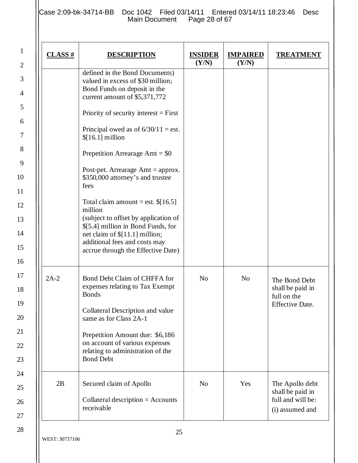| $CLASS$ # | <b>DESCRIPTION</b>                                                                                                                                                                                                                   | <b>INSIDER</b><br>(Y/N) | <b>IMPAIRED</b><br>(Y/N) | <b>TREATMENT</b>                                                            |
|-----------|--------------------------------------------------------------------------------------------------------------------------------------------------------------------------------------------------------------------------------------|-------------------------|--------------------------|-----------------------------------------------------------------------------|
|           | defined in the Bond Documents)<br>valued in excess of \$30 million;<br>Bond Funds on deposit in the<br>current amount of \$5,371,772                                                                                                 |                         |                          |                                                                             |
|           | Priority of security interest $=$ First                                                                                                                                                                                              |                         |                          |                                                                             |
|           | Principal owed as of $6/30/11 = \text{est.}$<br>$[16.1]$ million                                                                                                                                                                     |                         |                          |                                                                             |
|           | Prepetition Arrearage Amt = $$0$                                                                                                                                                                                                     |                         |                          |                                                                             |
|           | Post-pet. Arrearage $Amt =$ approx.<br>\$350,000 attorney's and trustee<br>fees                                                                                                                                                      |                         |                          |                                                                             |
|           | Total claim amount = est. $[16.5]$<br>million<br>(subject to offset by application of<br>\$[5.4] million in Bond Funds, for<br>net claim of \$[11.1] million;<br>additional fees and costs may<br>accrue through the Effective Date) |                         |                          |                                                                             |
| $2A-2$    | Bond Debt Claim of CHFFA for<br>expenses relating to Tax Exempt<br><b>Bonds</b>                                                                                                                                                      | N <sub>o</sub>          | N <sub>o</sub>           | The Bond Debt<br>shall be paid in<br>full on the<br><b>Effective Date.</b>  |
|           | Collateral Description and value<br>same as for Class 2A-1                                                                                                                                                                           |                         |                          |                                                                             |
|           | Prepetition Amount due: \$6,186<br>on account of various expenses<br>relating to administration of the<br><b>Bond Debt</b>                                                                                                           |                         |                          |                                                                             |
| 2B        | Secured claim of Apollo<br>Collateral description $=$ Accounts<br>receivable                                                                                                                                                         | N <sub>o</sub>          | Yes                      | The Apollo debt<br>shall be paid in<br>full and will be:<br>(i) assumed and |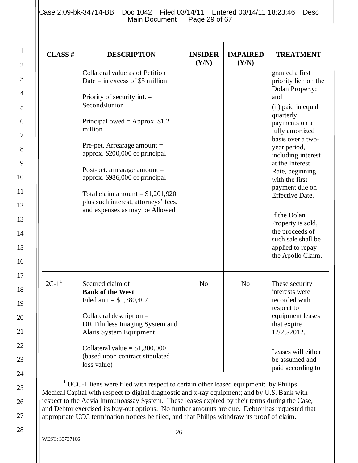2

3

4

5

6

7

8

9

10

11

12

13

14

15

16

17

18

19

20

21

22

23

24

25

26

27

28

| $CLASS$ #           | <b>DESCRIPTION</b>                                                                                                                                                                                                                                                                                                                                                                                                           | <b>INSIDER</b><br>(Y/N) | <b>IMPAIRED</b><br>(Y/N) | <b>TREATMENT</b>                                                                                                                                                                                                                                                                                                                                                                                                               |
|---------------------|------------------------------------------------------------------------------------------------------------------------------------------------------------------------------------------------------------------------------------------------------------------------------------------------------------------------------------------------------------------------------------------------------------------------------|-------------------------|--------------------------|--------------------------------------------------------------------------------------------------------------------------------------------------------------------------------------------------------------------------------------------------------------------------------------------------------------------------------------------------------------------------------------------------------------------------------|
|                     | Collateral value as of Petition<br>Date $=$ in excess of \$5 million<br>Priority of security int. $=$<br>Second/Junior<br>Principal owed = Approx. $$1.2$<br>million<br>Pre-pet. Arrearage amount $=$<br>approx. \$200,000 of principal<br>Post-pet. arrearage amount $=$<br>approx. \$986,000 of principal<br>Total claim amount = $$1,201,920$ ,<br>plus such interest, attorneys' fees,<br>and expenses as may be Allowed |                         |                          | granted a first<br>priority lien on the<br>Dolan Property;<br>and<br>(ii) paid in equal<br>quarterly<br>payments on a<br>fully amortized<br>basis over a two-<br>year period,<br>including interest<br>at the Interest<br>Rate, beginning<br>with the first<br>payment due on<br><b>Effective Date.</b><br>If the Dolan<br>Property is sold,<br>the proceeds of<br>such sale shall be<br>applied to repay<br>the Apollo Claim. |
| $2C-1$ <sup>1</sup> | Secured claim of<br><b>Bank of the West</b><br>Filed amt = $$1,780,407$<br>Collateral description $=$<br>DR Filmless Imaging System and<br>Alaris System Equipment<br>Collateral value = $$1,300,000$<br>(based upon contract stipulated<br>loss value)                                                                                                                                                                      | N <sub>o</sub>          | N <sub>o</sub>           | These security<br>interests were<br>recorded with<br>respect to<br>equipment leases<br>that expire<br>12/25/2012.<br>Leases will either<br>be assumed and<br>paid according to                                                                                                                                                                                                                                                 |

 $1$  UCC-1 liens were filed with respect to certain other leased equipment: by Philips Medical Capital with respect to digital diagnostic and x-ray equipment; and by U.S. Bank with respect to the Advia Immunoassay System. These leases expired by their terms during the Case, and Debtor exercised its buy-out options. No further amounts are due. Debtor has requested that appropriate UCC termination notices be filed, and that Philips withdraw its proof of claim.

WEST: 30737106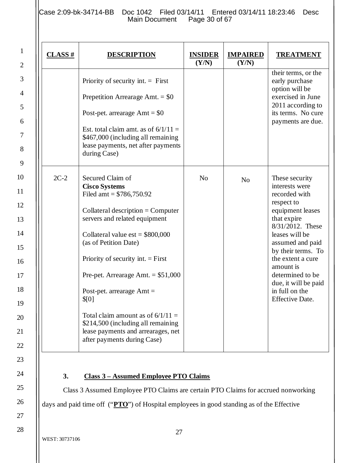2

3

4

5

6

7

8

9

10

11

12

13

14

15

16

17

18

19

20

21

22

23

24

25

26

27

28

Case 2:09-bk-34714-BB Doc 1042 Filed 03/14/11 Entered 03/14/11 18:23:46 Desc<br>Main Document Page 30 of 67 Main Document

| <b>CLASS#</b> | <b>DESCRIPTION</b>                                                                                                                                                                                                                                                                                                                                                                                                                                                                  | <b>INSIDER</b><br>(Y/N) | <b>IMPAIRED</b><br>(Y/N) | <b>TREATMENT</b>                                                                                                                                                                                                                                                                                             |
|---------------|-------------------------------------------------------------------------------------------------------------------------------------------------------------------------------------------------------------------------------------------------------------------------------------------------------------------------------------------------------------------------------------------------------------------------------------------------------------------------------------|-------------------------|--------------------------|--------------------------------------------------------------------------------------------------------------------------------------------------------------------------------------------------------------------------------------------------------------------------------------------------------------|
|               | Priority of security int. $=$ First<br>Prepetition Arrearage Amt. = $$0$<br>Post-pet. arrearage $Amt = $0$<br>Est. total claim amt. as of $6/1/11 =$<br>\$467,000 (including all remaining<br>lease payments, net after payments<br>during Case)                                                                                                                                                                                                                                    |                         |                          | their terms, or the<br>early purchase<br>option will be<br>exercised in June<br>2011 according to<br>its terms. No cure<br>payments are due.                                                                                                                                                                 |
| $2C-2$        | Secured Claim of<br><b>Cisco Systems</b><br>Filed amt = $$786,750.92$<br>Collateral description $=$ Computer<br>servers and related equipment<br>Collateral value $est = $800,000$<br>(as of Petition Date)<br>Priority of security int. $=$ First<br>Pre-pet. Arrearage Amt. $= $51,000$<br>Post-pet. arrearage $Amt =$<br>\$[0]<br>Total claim amount as of $6/1/11 =$<br>\$214,500 (including all remaining<br>lease payments and arrearages, net<br>after payments during Case) | N <sub>0</sub>          | N <sub>o</sub>           | These security<br>interests were<br>recorded with<br>respect to<br>equipment leases<br>that expire<br>8/31/2012. These<br>leases will be<br>assumed and paid<br>by their terms. To<br>the extent a cure<br>amount is<br>determined to be<br>due, it will be paid<br>in full on the<br><b>Effective Date.</b> |

# **3. Class 3 – Assumed Employee PTO Claims**

Class 3 Assumed Employee PTO Claims are certain PTO Claims for accrued nonworking days and paid time off ("**PTO**") of Hospital employees in good standing as of the Effective

WEST: 30737106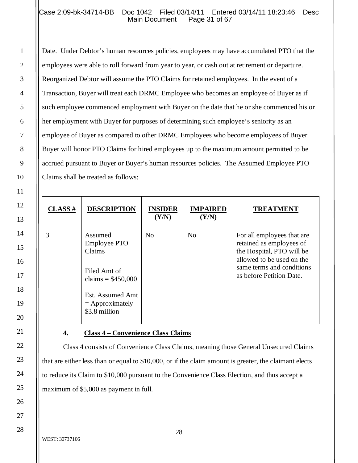# Case 2:09-bk-34714-BB Doc 1042 Filed 03/14/11 Entered 03/14/11 18:23:46 Desc<br>Main Document Page 31 of 67 Main Document

Date. Under Debtor's human resources policies, employees may have accumulated PTO that the employees were able to roll forward from year to year, or cash out at retirement or departure. Reorganized Debtor will assume the PTO Claims for retained employees. In the event of a Transaction, Buyer will treat each DRMC Employee who becomes an employee of Buyer as if such employee commenced employment with Buyer on the date that he or she commenced his or her employment with Buyer for purposes of determining such employee's seniority as an employee of Buyer as compared to other DRMC Employees who become employees of Buyer. Buyer will honor PTO Claims for hired employees up to the maximum amount permitted to be accrued pursuant to Buyer or Buyer's human resources policies. The Assumed Employee PTO Claims shall be treated as follows:

| $CLASS$ # | <b>DESCRIPTION</b>                                                                                                                        | <b>INSIDER</b><br>(Y/N) | <b>IMPAIRED</b><br>(Y/N) | <b>TREATMENT</b>                                                                                                                                                          |
|-----------|-------------------------------------------------------------------------------------------------------------------------------------------|-------------------------|--------------------------|---------------------------------------------------------------------------------------------------------------------------------------------------------------------------|
|           | Assumed<br><b>Employee PTO</b><br>Claims<br>Filed Amt of<br>claims = $$450,000$<br>Est. Assumed Amt<br>$=$ Approximately<br>\$3.8 million | No                      | N <sub>0</sub>           | For all employees that are<br>retained as employees of<br>the Hospital, PTO will be<br>allowed to be used on the<br>same terms and conditions<br>as before Petition Date. |

# **4. Class 4 – Convenience Class Claims**

Class 4 consists of Convenience Class Claims, meaning those General Unsecured Claims that are either less than or equal to \$10,000, or if the claim amount is greater, the claimant elects to reduce its Claim to \$10,000 pursuant to the Convenience Class Election, and thus accept a maximum of \$5,000 as payment in full.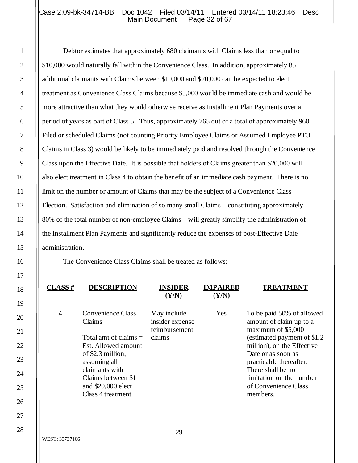# Case 2:09-bk-34714-BB Doc 1042 Filed 03/14/11 Entered 03/14/11 18:23:46 Desc<br>Main Document Page 32 of 67 Main Document

Debtor estimates that approximately 680 claimants with Claims less than or equal to \$10,000 would naturally fall within the Convenience Class. In addition, approximately 85 additional claimants with Claims between \$10,000 and \$20,000 can be expected to elect treatment as Convenience Class Claims because \$5,000 would be immediate cash and would be more attractive than what they would otherwise receive as Installment Plan Payments over a period of years as part of Class 5. Thus, approximately 765 out of a total of approximately 960 Filed or scheduled Claims (not counting Priority Employee Claims or Assumed Employee PTO Claims in Class 3) would be likely to be immediately paid and resolved through the Convenience Class upon the Effective Date. It is possible that holders of Claims greater than \$20,000 will also elect treatment in Class 4 to obtain the benefit of an immediate cash payment. There is no limit on the number or amount of Claims that may be the subject of a Convenience Class Election. Satisfaction and elimination of so many small Claims – constituting approximately 80% of the total number of non-employee Claims – will greatly simplify the administration of the Installment Plan Payments and significantly reduce the expenses of post-Effective Date administration.

The Convenience Class Claims shall be treated as follows:

| <b>CLASS</b> # | <b>DESCRIPTION</b>                                                                                                                                                                                           | <b>INSIDER</b><br>(Y/N)                                   | <b>IMPAIRED</b><br>(Y/N) | <b>TREATMENT</b>                                                                                                                                                                                                                                                               |
|----------------|--------------------------------------------------------------------------------------------------------------------------------------------------------------------------------------------------------------|-----------------------------------------------------------|--------------------------|--------------------------------------------------------------------------------------------------------------------------------------------------------------------------------------------------------------------------------------------------------------------------------|
| 4              | <b>Convenience Class</b><br>Claims<br>Total amt of claims $=$<br>Est. Allowed amount<br>of \$2.3 million,<br>assuming all<br>claimants with<br>Claims between \$1<br>and \$20,000 elect<br>Class 4 treatment | May include<br>insider expense<br>reimbursement<br>claims | <b>Yes</b>               | To be paid 50% of allowed<br>amount of claim up to a<br>maximum of \$5,000<br>(estimated payment of \$1.2)<br>million), on the Effective<br>Date or as soon as<br>practicable thereafter.<br>There shall be no<br>limitation on the number<br>of Convenience Class<br>members. |

1

2

3

4

5

6

7

8

9

10

11

12

13

14

15

16

17

18

19

20

21

22

23

24

25

26

27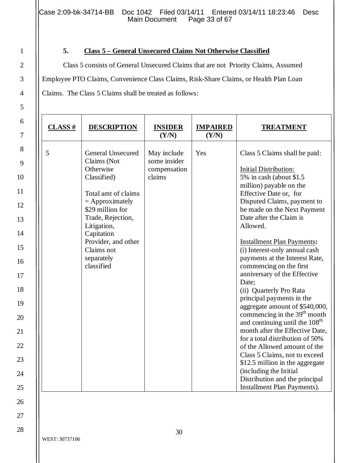Case 2:09-bk-34714-BB Doc 1042 Filed 03/14/11 Entered 03/14/11 18:23:46 Desc<br>Main Document Page 33 of 67 Main Document

# **5. Class 5 – General Unsecured Claims Not Otherwise Classified**

Class 5 consists of General Unsecured Claims that are not Priority Claims, Assumed Employee PTO Claims, Convenience Class Claims, Risk-Share Claims, or Health Plan Loan Claims. The Class 5 Claims shall be treated as follows:

| CLASS# | <b>DESCRIPTION</b>                                                                                                                                                                                                                                     | <b>INSIDER</b><br>(Y/N)                               | <b>IMPAIRED</b><br>(Y/N) | <b>TREATMENT</b>                                                                                                                                                                                                                                                                                                                                                                                                                                                                                                                                                                                                                                                                                                                                                                                                                                                               |
|--------|--------------------------------------------------------------------------------------------------------------------------------------------------------------------------------------------------------------------------------------------------------|-------------------------------------------------------|--------------------------|--------------------------------------------------------------------------------------------------------------------------------------------------------------------------------------------------------------------------------------------------------------------------------------------------------------------------------------------------------------------------------------------------------------------------------------------------------------------------------------------------------------------------------------------------------------------------------------------------------------------------------------------------------------------------------------------------------------------------------------------------------------------------------------------------------------------------------------------------------------------------------|
| 5      | <b>General Unsecured</b><br>Claims (Not<br>Otherwise<br>Classified)<br>Total amt of claims<br>$=$ Approximately<br>\$29 million for<br>Trade, Rejection,<br>Litigation,<br>Capitation<br>Provider, and other<br>Claims not<br>separately<br>classified | May include<br>some insider<br>compensation<br>claims | Yes                      | Class 5 Claims shall be paid:<br><b>Initial Distribution:</b><br>5% in cash (about \$1.5)<br>million) payable on the<br>Effective Date or, for<br>Disputed Claims, payment to<br>be made on the Next Payment<br>Date after the Claim is<br>Allowed.<br><b>Installment Plan Payments:</b><br>(i) Interest-only annual cash<br>payments at the Interest Rate,<br>commencing on the first<br>anniversary of the Effective<br>Date;<br>(ii) Quarterly Pro Rata<br>principal payments in the<br>aggregate amount of \$540,000,<br>commencing in the $39th$ month<br>and continuing until the 108 <sup>th</sup><br>month after the Effective Date,<br>for a total distribution of 50%<br>of the Allowed amount of the<br>Class 5 Claims, not to exceed<br>\$12.5 million in the aggregate<br>(including the Initial<br>Distribution and the principal<br>Installment Plan Payments). |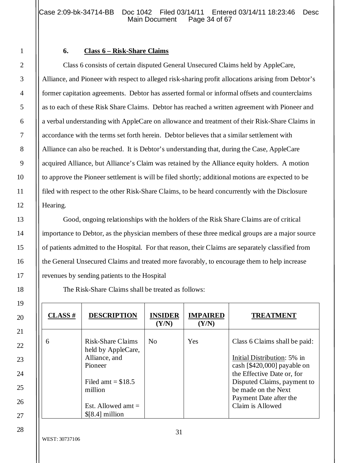Case 2:09-bk-34714-BB Doc 1042 Filed 03/14/11 Entered 03/14/11 18:23:46 Desc<br>Main Document Page 34 of 67 Main Document

# **6. Class 6 – Risk-Share Claims**

Class 6 consists of certain disputed General Unsecured Claims held by AppleCare, Alliance, and Pioneer with respect to alleged risk-sharing profit allocations arising from Debtor's former capitation agreements. Debtor has asserted formal or informal offsets and counterclaims as to each of these Risk Share Claims. Debtor has reached a written agreement with Pioneer and a verbal understanding with AppleCare on allowance and treatment of their Risk-Share Claims in accordance with the terms set forth herein. Debtor believes that a similar settlement with Alliance can also be reached. It is Debtor's understanding that, during the Case, AppleCare acquired Alliance, but Alliance's Claim was retained by the Alliance equity holders. A motion to approve the Pioneer settlement is will be filed shortly; additional motions are expected to be filed with respect to the other Risk-Share Claims, to be heard concurrently with the Disclosure Hearing.

Good, ongoing relationships with the holders of the Risk Share Claims are of critical importance to Debtor, as the physician members of these three medical groups are a major source of patients admitted to the Hospital. For that reason, their Claims are separately classified from the General Unsecured Claims and treated more favorably, to encourage them to help increase revenues by sending patients to the Hospital

The Risk-Share Claims shall be treated as follows:

| $CLASS$ # | <b>DESCRIPTION</b>                                                                                                                                       | <b>INSIDER</b><br>(Y/N) | <b>IMPAIRED</b><br>(Y/N) | <b>TREATMENT</b>                                                                                                                                                                                                                 |
|-----------|----------------------------------------------------------------------------------------------------------------------------------------------------------|-------------------------|--------------------------|----------------------------------------------------------------------------------------------------------------------------------------------------------------------------------------------------------------------------------|
| 6         | <b>Risk-Share Claims</b><br>held by AppleCare,<br>Alliance, and<br>Pioneer<br>Filed amt $= $18.5$<br>million<br>Est. Allowed amt $=$<br>$$[8.4]$ million | N <sub>0</sub>          | <b>Yes</b>               | Class 6 Claims shall be paid:<br>Initial Distribution: 5% in<br>cash [ $$420,000$ ] payable on<br>the Effective Date or, for<br>Disputed Claims, payment to<br>be made on the Next<br>Payment Date after the<br>Claim is Allowed |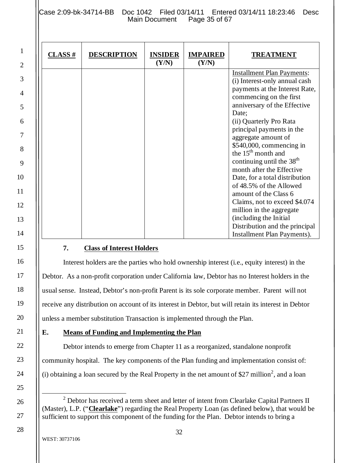Case 2:09-bk-34714-BB Doc 1042 Filed 03/14/11 Entered 03/14/11 18:23:46 Desc<br>Main Document Page 35 of 67 Main Document

| $CLASS$ # | <b>DESCRIPTION</b> | <b>INSIDER</b><br>(Y/N) | <b>IMPAIRED</b><br>(Y/N) | <b>TREATMENT</b>                                                                                                                                                                                                                                                                                                                                                                                                                                                                                                                                                                                                                |
|-----------|--------------------|-------------------------|--------------------------|---------------------------------------------------------------------------------------------------------------------------------------------------------------------------------------------------------------------------------------------------------------------------------------------------------------------------------------------------------------------------------------------------------------------------------------------------------------------------------------------------------------------------------------------------------------------------------------------------------------------------------|
|           |                    |                         |                          | <b>Installment Plan Payments:</b><br>(i) Interest-only annual cash<br>payments at the Interest Rate,<br>commencing on the first<br>anniversary of the Effective<br>Date;<br>(ii) Quarterly Pro Rata<br>principal payments in the<br>aggregate amount of<br>\$540,000, commencing in<br>the 15 <sup>th</sup> month and<br>continuing until the $38th$<br>month after the Effective<br>Date, for a total distribution<br>of 48.5% of the Allowed<br>amount of the Class 6<br>Claims, not to exceed \$4.074<br>million in the aggregate<br>(including the Initial<br>Distribution and the principal<br>Installment Plan Payments). |

# **7. Class of Interest Holders**

Interest holders are the parties who hold ownership interest (i.e., equity interest) in the Debtor. As a non-profit corporation under California law, Debtor has no Interest holders in the usual sense. Instead, Debtor's non-profit Parent is its sole corporate member. Parent will not receive any distribution on account of its interest in Debtor, but will retain its interest in Debtor unless a member substitution Transaction is implemented through the Plan.

# **E. Means of Funding and Implementing the Plan**

Debtor intends to emerge from Chapter 11 as a reorganized, standalone nonprofit community hospital. The key components of the Plan funding and implementation consist of: (i) obtaining a loan secured by the Real Property in the net amount of \$27 million<sup>2</sup>, and a loan

1

2

3

4

5

6

7

8

9

10

11

12

13

14

15

16

17

18

19

20

21

22

23

24

25

26

27

 $2$  Debtor has received a term sheet and letter of intent from Clearlake Capital Partners II (Master), L.P. ("**Clearlake**") regarding the Real Property Loan (as defined below), that would be sufficient to support this component of the funding for the Plan. Debtor intends to bring a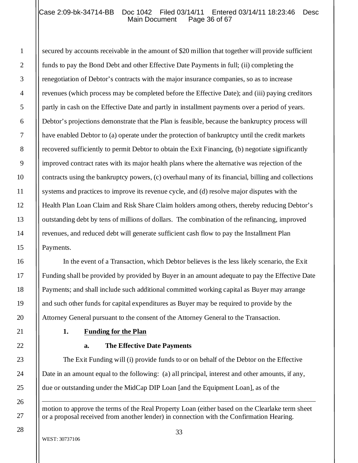# Case 2:09-bk-34714-BB Doc 1042 Filed 03/14/11 Entered 03/14/11 18:23:46 Desc<br>Main Document Page 36 of 67 Main Document

secured by accounts receivable in the amount of \$20 million that together will provide sufficient funds to pay the Bond Debt and other Effective Date Payments in full; (ii) completing the renegotiation of Debtor's contracts with the major insurance companies, so as to increase revenues (which process may be completed before the Effective Date); and (iii) paying creditors partly in cash on the Effective Date and partly in installment payments over a period of years. Debtor's projections demonstrate that the Plan is feasible, because the bankruptcy process will have enabled Debtor to (a) operate under the protection of bankruptcy until the credit markets recovered sufficiently to permit Debtor to obtain the Exit Financing, (b) negotiate significantly improved contract rates with its major health plans where the alternative was rejection of the contracts using the bankruptcy powers, (c) overhaul many of its financial, billing and collections systems and practices to improve its revenue cycle, and (d) resolve major disputes with the Health Plan Loan Claim and Risk Share Claim holders among others, thereby reducing Debtor's outstanding debt by tens of millions of dollars. The combination of the refinancing, improved revenues, and reduced debt will generate sufficient cash flow to pay the Installment Plan Payments.

In the event of a Transaction, which Debtor believes is the less likely scenario, the Exit Funding shall be provided by provided by Buyer in an amount adequate to pay the Effective Date Payments; and shall include such additional committed working capital as Buyer may arrange and such other funds for capital expenditures as Buyer may be required to provide by the Attorney General pursuant to the consent of the Attorney General to the Transaction.

# **1. Funding for the Plan**

# **a. The Effective Date Payments**

The Exit Funding will (i) provide funds to or on behalf of the Debtor on the Effective Date in an amount equal to the following: (a) all principal, interest and other amounts, if any, due or outstanding under the MidCap DIP Loan [and the Equipment Loan], as of the

motion to approve the terms of the Real Property Loan (either based on the Clearlake term sheet or a proposal received from another lender) in connection with the Confirmation Hearing.

1

2

3

4

5

6

7

8

9

10

11

12

13

14

15

16

17

18

19

20

21

22

23

24

25

26

27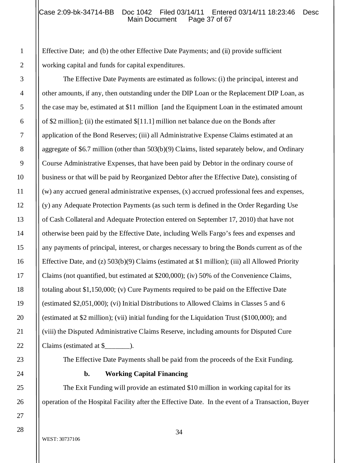Effective Date; and (b) the other Effective Date Payments; and (ii) provide sufficient working capital and funds for capital expenditures.

The Effective Date Payments are estimated as follows: (i) the principal, interest and other amounts, if any, then outstanding under the DIP Loan or the Replacement DIP Loan, as the case may be, estimated at \$11 million [and the Equipment Loan in the estimated amount of \$2 million]; (ii) the estimated \$[11.1] million net balance due on the Bonds after application of the Bond Reserves; (iii) all Administrative Expense Claims estimated at an aggregate of \$6.7 million (other than 503(b)(9) Claims, listed separately below, and Ordinary Course Administrative Expenses, that have been paid by Debtor in the ordinary course of business or that will be paid by Reorganized Debtor after the Effective Date), consisting of (w) any accrued general administrative expenses, (x) accrued professional fees and expenses, (y) any Adequate Protection Payments (as such term is defined in the Order Regarding Use of Cash Collateral and Adequate Protection entered on September 17, 2010) that have not otherwise been paid by the Effective Date, including Wells Fargo's fees and expenses and any payments of principal, interest, or charges necessary to bring the Bonds current as of the Effective Date, and  $(z)$  503(b)(9) Claims (estimated at \$1 million); (iii) all Allowed Priority Claims (not quantified, but estimated at \$200,000); (iv) 50% of the Convenience Claims, totaling about \$1,150,000; (v) Cure Payments required to be paid on the Effective Date (estimated \$2,051,000); (vi) Initial Distributions to Allowed Claims in Classes 5 and 6 (estimated at \$2 million); (vii) initial funding for the Liquidation Trust (\$100,000); and (viii) the Disputed Administrative Claims Reserve, including amounts for Disputed Cure Claims (estimated at \$\_\_\_\_\_\_\_).

The Effective Date Payments shall be paid from the proceeds of the Exit Funding.

# **b. Working Capital Financing**

The Exit Funding will provide an estimated \$10 million in working capital for its operation of the Hospital Facility after the Effective Date. In the event of a Transaction, Buyer

1

2

3

4

5

6

7

8

9

10

11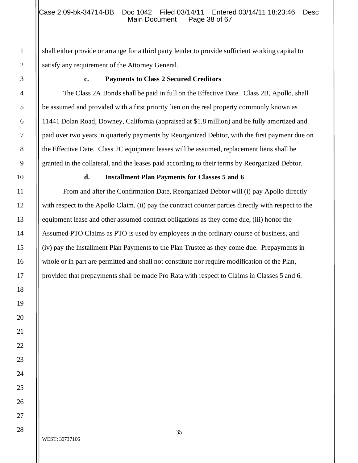shall either provide or arrange for a third party lender to provide sufficient working capital to satisfy any requirement of the Attorney General.

# **c. Payments to Class 2 Secured Creditors**

The Class 2A Bonds shall be paid in full on the Effective Date. Class 2B, Apollo, shall be assumed and provided with a first priority lien on the real property commonly known as 11441 Dolan Road, Downey, California (appraised at \$1.8 million) and be fully amortized and paid over two years in quarterly payments by Reorganized Debtor, with the first payment due on the Effective Date. Class 2C equipment leases will be assumed, replacement liens shall be granted in the collateral, and the leases paid according to their terms by Reorganized Debtor.

# **d. Installment Plan Payments for Classes 5 and 6**

From and after the Confirmation Date, Reorganized Debtor will (i) pay Apollo directly with respect to the Apollo Claim, (ii) pay the contract counter parties directly with respect to the equipment lease and other assumed contract obligations as they come due, (iii) honor the Assumed PTO Claims as PTO is used by employees in the ordinary course of business, and (iv) pay the Installment Plan Payments to the Plan Trustee as they come due. Prepayments in whole or in part are permitted and shall not constitute nor require modification of the Plan, provided that prepayments shall be made Pro Rata with respect to Claims in Classes 5 and 6.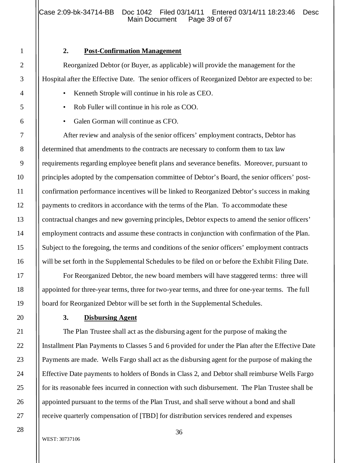#### **2. Post-Confirmation Management**

Reorganized Debtor (or Buyer, as applicable) will provide the management for the Hospital after the Effective Date. The senior officers of Reorganized Debtor are expected to be:

- Kenneth Strople will continue in his role as CEO.
- Rob Fuller will continue in his role as COO.
- Galen Gorman will continue as CFO.

After review and analysis of the senior officers' employment contracts, Debtor has determined that amendments to the contracts are necessary to conform them to tax law requirements regarding employee benefit plans and severance benefits. Moreover, pursuant to principles adopted by the compensation committee of Debtor's Board, the senior officers' postconfirmation performance incentives will be linked to Reorganized Debtor's success in making payments to creditors in accordance with the terms of the Plan. To accommodate these contractual changes and new governing principles, Debtor expects to amend the senior officers' employment contracts and assume these contracts in conjunction with confirmation of the Plan. Subject to the foregoing, the terms and conditions of the senior officers' employment contracts will be set forth in the Supplemental Schedules to be filed on or before the Exhibit Filing Date.

For Reorganized Debtor, the new board members will have staggered terms: three will appointed for three-year terms, three for two-year terms, and three for one-year terms. The full board for Reorganized Debtor will be set forth in the Supplemental Schedules.

#### **3. Disbursing Agent**

The Plan Trustee shall act as the disbursing agent for the purpose of making the Installment Plan Payments to Classes 5 and 6 provided for under the Plan after the Effective Date Payments are made. Wells Fargo shall act as the disbursing agent for the purpose of making the Effective Date payments to holders of Bonds in Class 2, and Debtor shall reimburse Wells Fargo for its reasonable fees incurred in connection with such disbursement. The Plan Trustee shall be appointed pursuant to the terms of the Plan Trust, and shall serve without a bond and shall receive quarterly compensation of [TBD] for distribution services rendered and expenses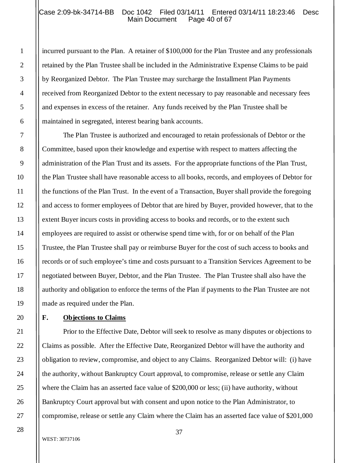incurred pursuant to the Plan. A retainer of \$100,000 for the Plan Trustee and any professionals retained by the Plan Trustee shall be included in the Administrative Expense Claims to be paid by Reorganized Debtor. The Plan Trustee may surcharge the Installment Plan Payments received from Reorganized Debtor to the extent necessary to pay reasonable and necessary fees and expenses in excess of the retainer. Any funds received by the Plan Trustee shall be maintained in segregated, interest bearing bank accounts.

The Plan Trustee is authorized and encouraged to retain professionals of Debtor or the Committee, based upon their knowledge and expertise with respect to matters affecting the administration of the Plan Trust and its assets. For the appropriate functions of the Plan Trust, the Plan Trustee shall have reasonable access to all books, records, and employees of Debtor for the functions of the Plan Trust. In the event of a Transaction, Buyer shall provide the foregoing and access to former employees of Debtor that are hired by Buyer, provided however, that to the extent Buyer incurs costs in providing access to books and records, or to the extent such employees are required to assist or otherwise spend time with, for or on behalf of the Plan Trustee, the Plan Trustee shall pay or reimburse Buyer for the cost of such access to books and records or of such employee's time and costs pursuant to a Transition Services Agreement to be negotiated between Buyer, Debtor, and the Plan Trustee. The Plan Trustee shall also have the authority and obligation to enforce the terms of the Plan if payments to the Plan Trustee are not made as required under the Plan.

# **F. Objections to Claims**

Prior to the Effective Date, Debtor will seek to resolve as many disputes or objections to Claims as possible. After the Effective Date, Reorganized Debtor will have the authority and obligation to review, compromise, and object to any Claims. Reorganized Debtor will: (i) have the authority, without Bankruptcy Court approval, to compromise, release or settle any Claim where the Claim has an asserted face value of \$200,000 or less; (ii) have authority, without Bankruptcy Court approval but with consent and upon notice to the Plan Administrator, to compromise, release or settle any Claim where the Claim has an asserted face value of \$201,000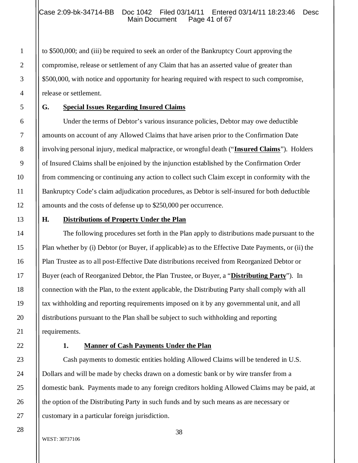to \$500,000; and (iii) be required to seek an order of the Bankruptcy Court approving the compromise, release or settlement of any Claim that has an asserted value of greater than \$500,000, with notice and opportunity for hearing required with respect to such compromise, release or settlement.

# **G. Special Issues Regarding Insured Claims**

1

2

3

4

5

6

7

8

9

10

11

12

13

14

15

16

17

18

19

20

21

22

23

24

25

26

27

28

Under the terms of Debtor's various insurance policies, Debtor may owe deductible amounts on account of any Allowed Claims that have arisen prior to the Confirmation Date involving personal injury, medical malpractice, or wrongful death ("**Insured Claims**"). Holders of Insured Claims shall be enjoined by the injunction established by the Confirmation Order from commencing or continuing any action to collect such Claim except in conformity with the Bankruptcy Code's claim adjudication procedures, as Debtor is self-insured for both deductible amounts and the costs of defense up to \$250,000 per occurrence.

# **H. Distributions of Property Under the Plan**

The following procedures set forth in the Plan apply to distributions made pursuant to the Plan whether by (i) Debtor (or Buyer, if applicable) as to the Effective Date Payments, or (ii) the Plan Trustee as to all post-Effective Date distributions received from Reorganized Debtor or Buyer (each of Reorganized Debtor, the Plan Trustee, or Buyer, a "**Distributing Party**"). In connection with the Plan, to the extent applicable, the Distributing Party shall comply with all tax withholding and reporting requirements imposed on it by any governmental unit, and all distributions pursuant to the Plan shall be subject to such withholding and reporting requirements.

# **1. Manner of Cash Payments Under the Plan**

Cash payments to domestic entities holding Allowed Claims will be tendered in U.S. Dollars and will be made by checks drawn on a domestic bank or by wire transfer from a domestic bank. Payments made to any foreign creditors holding Allowed Claims may be paid, at the option of the Distributing Party in such funds and by such means as are necessary or customary in a particular foreign jurisdiction.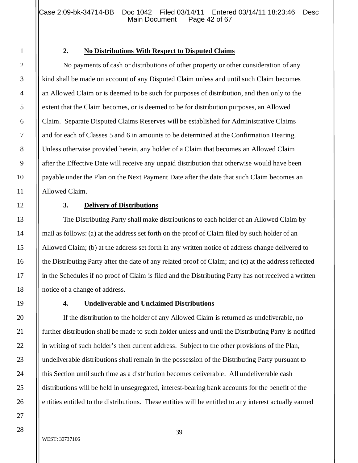Case 2:09-bk-34714-BB Doc 1042 Filed 03/14/11 Entered 03/14/11 18:23:46 Desc<br>Main Document Page 42 of 67 Main Document

### **2. No Distributions With Respect to Disputed Claims**

No payments of cash or distributions of other property or other consideration of any kind shall be made on account of any Disputed Claim unless and until such Claim becomes an Allowed Claim or is deemed to be such for purposes of distribution, and then only to the extent that the Claim becomes, or is deemed to be for distribution purposes, an Allowed Claim. Separate Disputed Claims Reserves will be established for Administrative Claims and for each of Classes 5 and 6 in amounts to be determined at the Confirmation Hearing. Unless otherwise provided herein, any holder of a Claim that becomes an Allowed Claim after the Effective Date will receive any unpaid distribution that otherwise would have been payable under the Plan on the Next Payment Date after the date that such Claim becomes an Allowed Claim.

# **3. Delivery of Distributions**

The Distributing Party shall make distributions to each holder of an Allowed Claim by mail as follows: (a) at the address set forth on the proof of Claim filed by such holder of an Allowed Claim; (b) at the address set forth in any written notice of address change delivered to the Distributing Party after the date of any related proof of Claim; and (c) at the address reflected in the Schedules if no proof of Claim is filed and the Distributing Party has not received a written notice of a change of address.

#### **4. Undeliverable and Unclaimed Distributions**

If the distribution to the holder of any Allowed Claim is returned as undeliverable, no further distribution shall be made to such holder unless and until the Distributing Party is notified in writing of such holder's then current address. Subject to the other provisions of the Plan, undeliverable distributions shall remain in the possession of the Distributing Party pursuant to this Section until such time as a distribution becomes deliverable. All undeliverable cash distributions will be held in unsegregated, interest-bearing bank accounts for the benefit of the entities entitled to the distributions. These entities will be entitled to any interest actually earned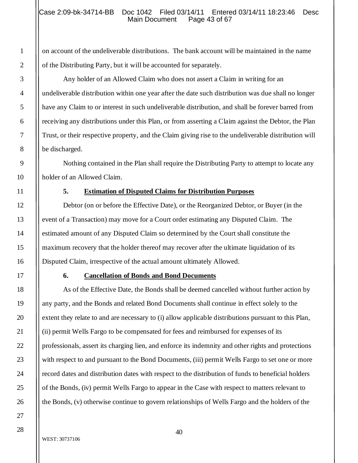on account of the undeliverable distributions. The bank account will be maintained in the name of the Distributing Party, but it will be accounted for separately.

Any holder of an Allowed Claim who does not assert a Claim in writing for an undeliverable distribution within one year after the date such distribution was due shall no longer have any Claim to or interest in such undeliverable distribution, and shall be forever barred from receiving any distributions under this Plan, or from asserting a Claim against the Debtor, the Plan Trust, or their respective property, and the Claim giving rise to the undeliverable distribution will be discharged.

Nothing contained in the Plan shall require the Distributing Party to attempt to locate any holder of an Allowed Claim.

# **5. Estimation of Disputed Claims for Distribution Purposes**

Debtor (on or before the Effective Date), or the Reorganized Debtor, or Buyer (in the event of a Transaction) may move for a Court order estimating any Disputed Claim. The estimated amount of any Disputed Claim so determined by the Court shall constitute the maximum recovery that the holder thereof may recover after the ultimate liquidation of its Disputed Claim, irrespective of the actual amount ultimately Allowed.

#### **6. Cancellation of Bonds and Bond Documents**

As of the Effective Date, the Bonds shall be deemed cancelled without further action by any party, and the Bonds and related Bond Documents shall continue in effect solely to the extent they relate to and are necessary to (i) allow applicable distributions pursuant to this Plan, (ii) permit Wells Fargo to be compensated for fees and reimbursed for expenses of its professionals, assert its charging lien, and enforce its indemnity and other rights and protections with respect to and pursuant to the Bond Documents, (iii) permit Wells Fargo to set one or more record dates and distribution dates with respect to the distribution of funds to beneficial holders of the Bonds, (iv) permit Wells Fargo to appear in the Case with respect to matters relevant to the Bonds, (v) otherwise continue to govern relationships of Wells Fargo and the holders of the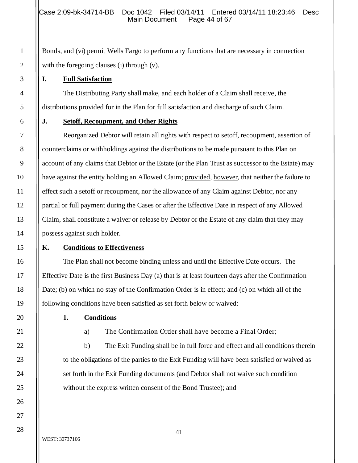Bonds, and (vi) permit Wells Fargo to perform any functions that are necessary in connection with the foregoing clauses (i) through (v).

# **I. Full Satisfaction**

The Distributing Party shall make, and each holder of a Claim shall receive, the distributions provided for in the Plan for full satisfaction and discharge of such Claim.

# **J. Setoff, Recoupment, and Other Rights**

Reorganized Debtor will retain all rights with respect to setoff, recoupment, assertion of counterclaims or withholdings against the distributions to be made pursuant to this Plan on account of any claims that Debtor or the Estate (or the Plan Trust as successor to the Estate) may have against the entity holding an Allowed Claim; provided, however, that neither the failure to effect such a setoff or recoupment, nor the allowance of any Claim against Debtor, nor any partial or full payment during the Cases or after the Effective Date in respect of any Allowed Claim, shall constitute a waiver or release by Debtor or the Estate of any claim that they may possess against such holder.

# **K. Conditions to Effectiveness**

The Plan shall not become binding unless and until the Effective Date occurs. The Effective Date is the first Business Day (a) that is at least fourteen days after the Confirmation Date; (b) on which no stay of the Confirmation Order is in effect; and (c) on which all of the following conditions have been satisfied as set forth below or waived:

# **1. Conditions**

a) The Confirmation Order shall have become a Final Order;

b) The Exit Funding shall be in full force and effect and all conditions therein to the obligations of the parties to the Exit Funding will have been satisfied or waived as set forth in the Exit Funding documents (and Debtor shall not waive such condition without the express written consent of the Bond Trustee); and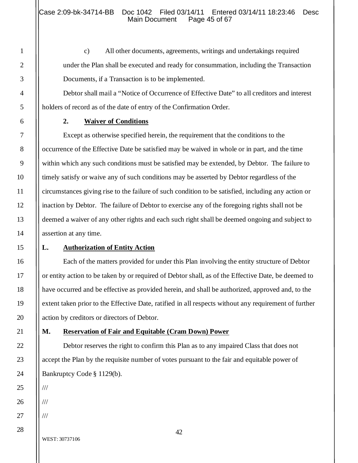c) All other documents, agreements, writings and undertakings required under the Plan shall be executed and ready for consummation, including the Transaction Documents, if a Transaction is to be implemented.

Debtor shall mail a "Notice of Occurrence of Effective Date" to all creditors and interest holders of record as of the date of entry of the Confirmation Order.

# **2. Waiver of Conditions**

Except as otherwise specified herein, the requirement that the conditions to the occurrence of the Effective Date be satisfied may be waived in whole or in part, and the time within which any such conditions must be satisfied may be extended, by Debtor. The failure to timely satisfy or waive any of such conditions may be asserted by Debtor regardless of the circumstances giving rise to the failure of such condition to be satisfied, including any action or inaction by Debtor. The failure of Debtor to exercise any of the foregoing rights shall not be deemed a waiver of any other rights and each such right shall be deemed ongoing and subject to assertion at any time.

# **L. Authorization of Entity Action**

Each of the matters provided for under this Plan involving the entity structure of Debtor or entity action to be taken by or required of Debtor shall, as of the Effective Date, be deemed to have occurred and be effective as provided herein, and shall be authorized, approved and, to the extent taken prior to the Effective Date, ratified in all respects without any requirement of further action by creditors or directors of Debtor.

# **M. Reservation of Fair and Equitable (Cram Down) Power**

Debtor reserves the right to confirm this Plan as to any impaired Class that does not accept the Plan by the requisite number of votes pursuant to the fair and equitable power of Bankruptcy Code § 1129(b).

///

///

1

2

3

4

5

6

7

8

9

10

11

12

13

14

15

16

17

18

19

20

21

22

23

24

25

26

27

28

///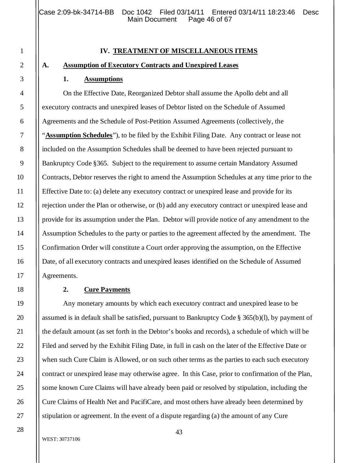# **IV. TREATMENT OF MISCELLANEOUS ITEMS**

# **A. Assumption of Executory Contracts and Unexpired Leases**

### **1. Assumptions**

On the Effective Date, Reorganized Debtor shall assume the Apollo debt and all executory contracts and unexpired leases of Debtor listed on the Schedule of Assumed Agreements and the Schedule of Post-Petition Assumed Agreements (collectively, the "**Assumption Schedules**"), to be filed by the Exhibit Filing Date. Any contract or lease not included on the Assumption Schedules shall be deemed to have been rejected pursuant to Bankruptcy Code §365. Subject to the requirement to assume certain Mandatory Assumed Contracts, Debtor reserves the right to amend the Assumption Schedules at any time prior to the Effective Date to: (a) delete any executory contract or unexpired lease and provide for its rejection under the Plan or otherwise, or (b) add any executory contract or unexpired lease and provide for its assumption under the Plan. Debtor will provide notice of any amendment to the Assumption Schedules to the party or parties to the agreement affected by the amendment. The Confirmation Order will constitute a Court order approving the assumption, on the Effective Date, of all executory contracts and unexpired leases identified on the Schedule of Assumed Agreements.

# **2. Cure Payments**

Any monetary amounts by which each executory contract and unexpired lease to be assumed is in default shall be satisfied, pursuant to Bankruptcy Code § 365(b)(l), by payment of the default amount (as set forth in the Debtor's books and records), a schedule of which will be Filed and served by the Exhibit Filing Date, in full in cash on the later of the Effective Date or when such Cure Claim is Allowed, or on such other terms as the parties to each such executory contract or unexpired lease may otherwise agree. In this Case, prior to confirmation of the Plan, some known Cure Claims will have already been paid or resolved by stipulation, including the Cure Claims of Health Net and PacifiCare, and most others have already been determined by stipulation or agreement. In the event of a dispute regarding (a) the amount of any Cure

1

2

3

4

5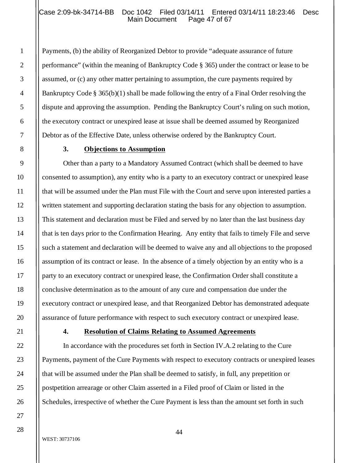# Case 2:09-bk-34714-BB Doc 1042 Filed 03/14/11 Entered 03/14/11 18:23:46 Desc<br>Main Document Page 47 of 67 Main Document

Payments, (b) the ability of Reorganized Debtor to provide "adequate assurance of future performance" (within the meaning of Bankruptcy Code § 365) under the contract or lease to be assumed, or (c) any other matter pertaining to assumption, the cure payments required by Bankruptcy Code § 365(b)(1) shall be made following the entry of a Final Order resolving the dispute and approving the assumption. Pending the Bankruptcy Court's ruling on such motion, the executory contract or unexpired lease at issue shall be deemed assumed by Reorganized Debtor as of the Effective Date, unless otherwise ordered by the Bankruptcy Court.

# **3. Objections to Assumption**

Other than a party to a Mandatory Assumed Contract (which shall be deemed to have consented to assumption), any entity who is a party to an executory contract or unexpired lease that will be assumed under the Plan must File with the Court and serve upon interested parties a written statement and supporting declaration stating the basis for any objection to assumption. This statement and declaration must be Filed and served by no later than the last business day that is ten days prior to the Confirmation Hearing. Any entity that fails to timely File and serve such a statement and declaration will be deemed to waive any and all objections to the proposed assumption of its contract or lease. In the absence of a timely objection by an entity who is a party to an executory contract or unexpired lease, the Confirmation Order shall constitute a conclusive determination as to the amount of any cure and compensation due under the executory contract or unexpired lease, and that Reorganized Debtor has demonstrated adequate assurance of future performance with respect to such executory contract or unexpired lease.

# **4. Resolution of Claims Relating to Assumed Agreements**

In accordance with the procedures set forth in Section IV.A.2 relating to the Cure Payments, payment of the Cure Payments with respect to executory contracts or unexpired leases that will be assumed under the Plan shall be deemed to satisfy, in full, any prepetition or postpetition arrearage or other Claim asserted in a Filed proof of Claim or listed in the Schedules, irrespective of whether the Cure Payment is less than the amount set forth in such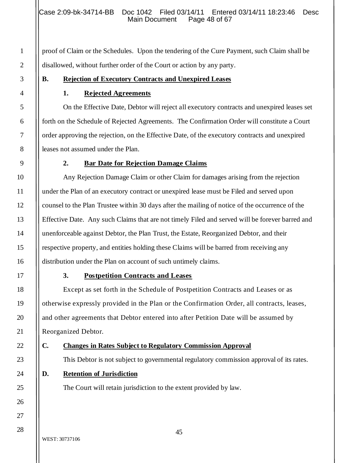proof of Claim or the Schedules. Upon the tendering of the Cure Payment, such Claim shall be disallowed, without further order of the Court or action by any party.

# **B. Rejection of Executory Contracts and Unexpired Leases**

# **1. Rejected Agreements**

On the Effective Date, Debtor will reject all executory contracts and unexpired leases set forth on the Schedule of Rejected Agreements. The Confirmation Order will constitute a Court order approving the rejection, on the Effective Date, of the executory contracts and unexpired leases not assumed under the Plan.

# **2. Bar Date for Rejection Damage Claims**

Any Rejection Damage Claim or other Claim for damages arising from the rejection under the Plan of an executory contract or unexpired lease must be Filed and served upon counsel to the Plan Trustee within 30 days after the mailing of notice of the occurrence of the Effective Date. Any such Claims that are not timely Filed and served will be forever barred and unenforceable against Debtor, the Plan Trust, the Estate, Reorganized Debtor, and their respective property, and entities holding these Claims will be barred from receiving any distribution under the Plan on account of such untimely claims.

# **3. Postpetition Contracts and Leases**

Except as set forth in the Schedule of Postpetition Contracts and Leases or as otherwise expressly provided in the Plan or the Confirmation Order, all contracts, leases, and other agreements that Debtor entered into after Petition Date will be assumed by Reorganized Debtor.

# **C. Changes in Rates Subject to Regulatory Commission Approval**

This Debtor is not subject to governmental regulatory commission approval of its rates.

# **D. Retention of Jurisdiction**

The Court will retain jurisdiction to the extent provided by law.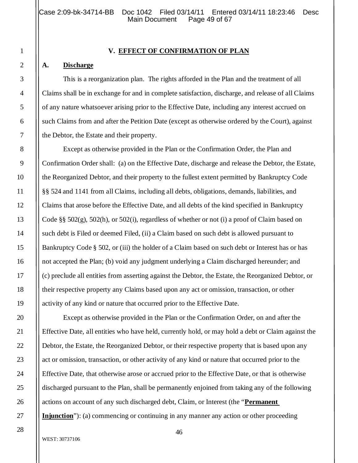#### **V. EFFECT OF CONFIRMATION OF PLAN**

# **A. Discharge**

1

2

3

4

5

6

7

8

9

10

11

12

13

14

15

16

17

18

19

20

21

22

23

24

This is a reorganization plan. The rights afforded in the Plan and the treatment of all Claims shall be in exchange for and in complete satisfaction, discharge, and release of all Claims of any nature whatsoever arising prior to the Effective Date, including any interest accrued on such Claims from and after the Petition Date (except as otherwise ordered by the Court), against the Debtor, the Estate and their property.

Except as otherwise provided in the Plan or the Confirmation Order, the Plan and Confirmation Order shall: (a) on the Effective Date, discharge and release the Debtor, the Estate, the Reorganized Debtor, and their property to the fullest extent permitted by Bankruptcy Code §§ 524 and 1141 from all Claims, including all debts, obligations, demands, liabilities, and Claims that arose before the Effective Date, and all debts of the kind specified in Bankruptcy Code §§ 502(g), 502(h), or 502(i), regardless of whether or not (i) a proof of Claim based on such debt is Filed or deemed Filed, (ii) a Claim based on such debt is allowed pursuant to Bankruptcy Code § 502, or (iii) the holder of a Claim based on such debt or Interest has or has not accepted the Plan; (b) void any judgment underlying a Claim discharged hereunder; and (c) preclude all entities from asserting against the Debtor, the Estate, the Reorganized Debtor, or their respective property any Claims based upon any act or omission, transaction, or other activity of any kind or nature that occurred prior to the Effective Date.

Except as otherwise provided in the Plan or the Confirmation Order, on and after the Effective Date, all entities who have held, currently hold, or may hold a debt or Claim against the Debtor, the Estate, the Reorganized Debtor, or their respective property that is based upon any act or omission, transaction, or other activity of any kind or nature that occurred prior to the Effective Date, that otherwise arose or accrued prior to the Effective Date, or that is otherwise discharged pursuant to the Plan, shall be permanently enjoined from taking any of the following actions on account of any such discharged debt, Claim, or Interest (the "**Permanent Injunction**"): (a) commencing or continuing in any manner any action or other proceeding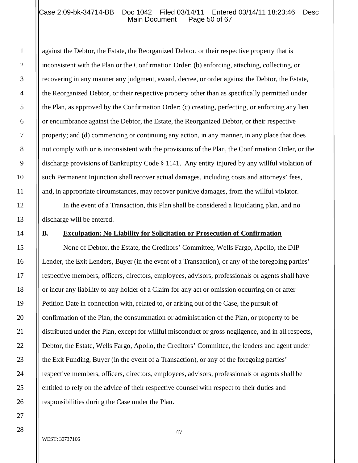# Case 2:09-bk-34714-BB Doc 1042 Filed 03/14/11 Entered 03/14/11 18:23:46 Desc<br>Main Document Page 50 of 67 Main Document

against the Debtor, the Estate, the Reorganized Debtor, or their respective property that is inconsistent with the Plan or the Confirmation Order; (b) enforcing, attaching, collecting, or recovering in any manner any judgment, award, decree, or order against the Debtor, the Estate, the Reorganized Debtor, or their respective property other than as specifically permitted under the Plan, as approved by the Confirmation Order; (c) creating, perfecting, or enforcing any lien or encumbrance against the Debtor, the Estate, the Reorganized Debtor, or their respective property; and (d) commencing or continuing any action, in any manner, in any place that does not comply with or is inconsistent with the provisions of the Plan, the Confirmation Order, or the discharge provisions of Bankruptcy Code § 1141. Any entity injured by any willful violation of such Permanent Injunction shall recover actual damages, including costs and attorneys' fees, and, in appropriate circumstances, may recover punitive damages, from the willful violator.

In the event of a Transaction, this Plan shall be considered a liquidating plan, and no discharge will be entered.

# **B. Exculpation: No Liability for Solicitation or Prosecution of Confirmation**

None of Debtor, the Estate, the Creditors' Committee, Wells Fargo, Apollo, the DIP Lender, the Exit Lenders, Buyer (in the event of a Transaction), or any of the foregoing parties' respective members, officers, directors, employees, advisors, professionals or agents shall have or incur any liability to any holder of a Claim for any act or omission occurring on or after Petition Date in connection with, related to, or arising out of the Case, the pursuit of confirmation of the Plan, the consummation or administration of the Plan, or property to be distributed under the Plan, except for willful misconduct or gross negligence, and in all respects, Debtor, the Estate, Wells Fargo, Apollo, the Creditors' Committee, the lenders and agent under the Exit Funding, Buyer (in the event of a Transaction), or any of the foregoing parties' respective members, officers, directors, employees, advisors, professionals or agents shall be entitled to rely on the advice of their respective counsel with respect to their duties and responsibilities during the Case under the Plan.

#### WEST: 30737106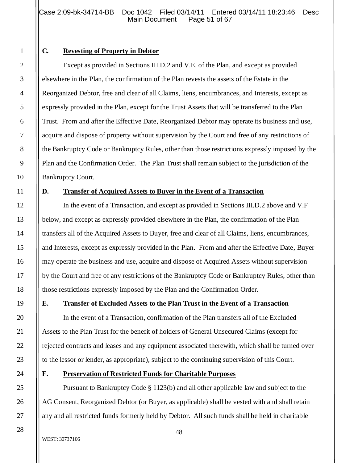# **C. Revesting of Property in Debtor**

Except as provided in Sections III.D.2 and V.E. of the Plan, and except as provided elsewhere in the Plan, the confirmation of the Plan revests the assets of the Estate in the Reorganized Debtor, free and clear of all Claims, liens, encumbrances, and Interests, except as expressly provided in the Plan, except for the Trust Assets that will be transferred to the Plan Trust. From and after the Effective Date, Reorganized Debtor may operate its business and use, acquire and dispose of property without supervision by the Court and free of any restrictions of the Bankruptcy Code or Bankruptcy Rules, other than those restrictions expressly imposed by the Plan and the Confirmation Order. The Plan Trust shall remain subject to the jurisdiction of the Bankruptcy Court.

# **D. Transfer of Acquired Assets to Buyer in the Event of a Transaction**

In the event of a Transaction, and except as provided in Sections III.D.2 above and V.F below, and except as expressly provided elsewhere in the Plan, the confirmation of the Plan transfers all of the Acquired Assets to Buyer, free and clear of all Claims, liens, encumbrances, and Interests, except as expressly provided in the Plan. From and after the Effective Date, Buyer may operate the business and use, acquire and dispose of Acquired Assets without supervision by the Court and free of any restrictions of the Bankruptcy Code or Bankruptcy Rules, other than those restrictions expressly imposed by the Plan and the Confirmation Order.

1

2

3

4

5

6

7

8

9

10

11

12

13

14

15

16

17

18

19

20

21

22

23

24

25

26

27

28

# **E. Transfer of Excluded Assets to the Plan Trust in the Event of a Transaction**

In the event of a Transaction, confirmation of the Plan transfers all of the Excluded Assets to the Plan Trust for the benefit of holders of General Unsecured Claims (except for rejected contracts and leases and any equipment associated therewith, which shall be turned over to the lessor or lender, as appropriate), subject to the continuing supervision of this Court.

# **F. Preservation of Restricted Funds for Charitable Purposes**

Pursuant to Bankruptcy Code § 1123(b) and all other applicable law and subject to the AG Consent, Reorganized Debtor (or Buyer, as applicable) shall be vested with and shall retain any and all restricted funds formerly held by Debtor. All such funds shall be held in charitable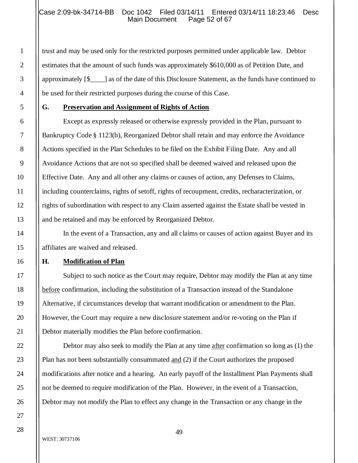# Case 2:09-bk-34714-BB Doc 1042 Filed 03/14/11 Entered 03/14/11 18:23:46 Desc<br>Main Document Page 52 of 67 Main Document

trust and may be used only for the restricted purposes permitted under applicable law. Debtor estimates that the amount of such funds was approximately \$610,000 as of Petition Date, and approximately [\$\_\_\_\_] as of the date of this Disclosure Statement, as the funds have continued to be used for their restricted purposes during the course of this Case.

# **G. Preservation and Assignment of Rights of Action**

Except as expressly released or otherwise expressly provided in the Plan, pursuant to Bankruptcy Code § 1123(b), Reorganized Debtor shall retain and may enforce the Avoidance Actions specified in the Plan Schedules to be filed on the Exhibit Filing Date. Any and all Avoidance Actions that are not so specified shall be deemed waived and released upon the Effective Date. Any and all other any claims or causes of action, any Defenses to Claims, including counterclaims, rights of setoff, rights of recoupment, credits, recharacterization, or rights of subordination with respect to any Claim asserted against the Estate shall be vested in and be retained and may be enforced by Reorganized Debtor.

In the event of a Transaction, any and all claims or causes of action against Buyer and its affiliates are waived and released.

# **H. Modification of Plan**

Subject to such notice as the Court may require, Debtor may modify the Plan at any time before confirmation, including the substitution of a Transaction instead of the Standalone Alternative, if circumstances develop that warrant modification or amendment to the Plan. However, the Court may require a new disclosure statement and/or re-voting on the Plan if Debtor materially modifies the Plan before confirmation.

Debtor may also seek to modify the Plan at any time after confirmation so long as (1) the Plan has not been substantially consummated and (2) if the Court authorizes the proposed modifications after notice and a hearing. An early payoff of the Installment Plan Payments shall not be deemed to require modification of the Plan. However, in the event of a Transaction, Debtor may not modify the Plan to effect any change in the Transaction or any change in the

#### WEST: 30737106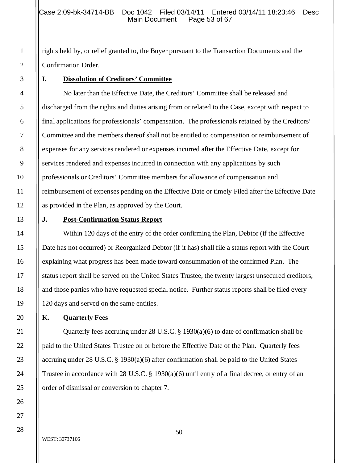rights held by, or relief granted to, the Buyer pursuant to the Transaction Documents and the Confirmation Order.

# **I. Dissolution of Creditors' Committee**

No later than the Effective Date, the Creditors' Committee shall be released and discharged from the rights and duties arising from or related to the Case, except with respect to final applications for professionals' compensation. The professionals retained by the Creditors' Committee and the members thereof shall not be entitled to compensation or reimbursement of expenses for any services rendered or expenses incurred after the Effective Date, except for services rendered and expenses incurred in connection with any applications by such professionals or Creditors' Committee members for allowance of compensation and reimbursement of expenses pending on the Effective Date or timely Filed after the Effective Date as provided in the Plan, as approved by the Court.

# **J. Post-Confirmation Status Report**

Within 120 days of the entry of the order confirming the Plan, Debtor (if the Effective Date has not occurred) or Reorganized Debtor (if it has) shall file a status report with the Court explaining what progress has been made toward consummation of the confirmed Plan. The status report shall be served on the United States Trustee, the twenty largest unsecured creditors, and those parties who have requested special notice. Further status reports shall be filed every 120 days and served on the same entities.

# **K. Quarterly Fees**

Quarterly fees accruing under 28 U.S.C. § 1930(a)(6) to date of confirmation shall be paid to the United States Trustee on or before the Effective Date of the Plan. Quarterly fees accruing under 28 U.S.C. § 1930(a)(6) after confirmation shall be paid to the United States Trustee in accordance with 28 U.S.C. § 1930(a)(6) until entry of a final decree, or entry of an order of dismissal or conversion to chapter 7.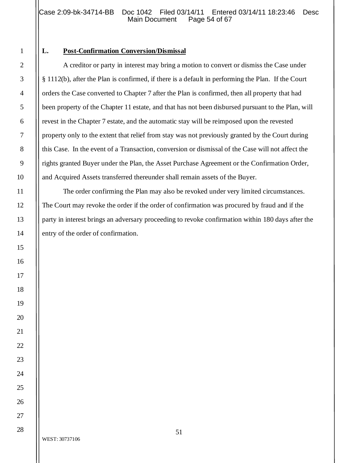Case 2:09-bk-34714-BB Doc 1042 Filed 03/14/11 Entered 03/14/11 18:23:46 Desc<br>Main Document Page 54 of 67 Main Document

# **L. Post-Confirmation Conversion/Dismissal**

A creditor or party in interest may bring a motion to convert or dismiss the Case under § 1112(b), after the Plan is confirmed, if there is a default in performing the Plan. If the Court orders the Case converted to Chapter 7 after the Plan is confirmed, then all property that had been property of the Chapter 11 estate, and that has not been disbursed pursuant to the Plan, will revest in the Chapter 7 estate, and the automatic stay will be reimposed upon the revested property only to the extent that relief from stay was not previously granted by the Court during this Case. In the event of a Transaction, conversion or dismissal of the Case will not affect the rights granted Buyer under the Plan, the Asset Purchase Agreement or the Confirmation Order, and Acquired Assets transferred thereunder shall remain assets of the Buyer.

The order confirming the Plan may also be revoked under very limited circumstances. The Court may revoke the order if the order of confirmation was procured by fraud and if the party in interest brings an adversary proceeding to revoke confirmation within 180 days after the entry of the order of confirmation.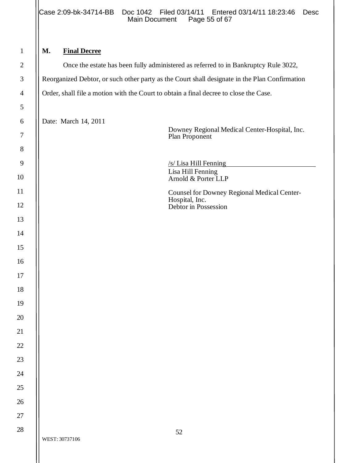Case 2:09-bk-34714-BB Doc 1042 Filed 03/14/11 Entered 03/14/11 18:23:46 Desc<br>Main Document Page 55 of 67 Main Document

# **M. Final Decree**

Once the estate has been fully administered as referred to in Bankruptcy Rule 3022,

Reorganized Debtor, or such other party as the Court shall designate in the Plan Confirmation

Order, shall file a motion with the Court to obtain a final decree to close the Case.

Date: March 14, 2011

Downey Regional Medical Center-Hospital, Inc. Plan Proponent

/s/ Lisa Hill Fenning Lisa Hill Fenning Arnold & Porter LLP

Counsel for Downey Regional Medical Center-Hospital, Inc. Debtor in Possession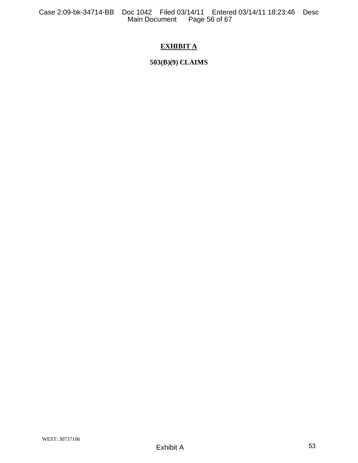# **EXHIBIT A**

**503(B)(9) CLAIMS**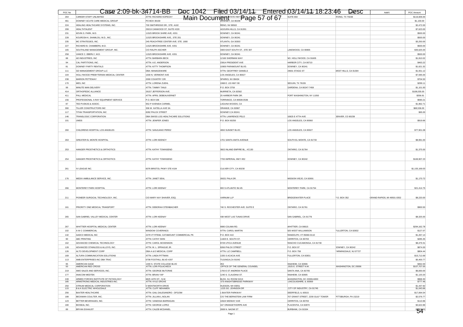| POC No     | Case 2:09-bk-34714-BB                                             |                                                           |                                                | Doc 1042 Filed 03/14/11 Entered 03/14/11 18:23:46 Desc | Addr5                                       | POC Amount               |
|------------|-------------------------------------------------------------------|-----------------------------------------------------------|------------------------------------------------|--------------------------------------------------------|---------------------------------------------|--------------------------|
| 264        | CAREER STAFF UNLIMITED                                            | ATTN: RICHARD KOPECKY                                     | Main Document FATE HWY Page 57 of 67           | SUITE 650                                              | <b>RVING, TX 75038</b>                      | \$116,606.00             |
| 461        | DOWNEY ACUTE CARE MEDICAL GROUP                                   | PO BOX 39159                                              |                                                |                                                        |                                             | \$1,100.00               |
| 224        | HEALING HEALTHCARE SYSTEMS, INC.                                  | 700 SMITHRIDGE DR., STE. A102                             | <b>RENO, NV 89502</b>                          |                                                        |                                             | \$2,472.00               |
| 299        | HEAI THTAI ENT                                                    | 29219 CANWOOD ST, SUITE #220                              | AGOURA HILLS, CA 91301                         |                                                        |                                             | \$7,623.00               |
| 231        | KEVIN S. PARK, M.D.                                               | 11525 BROOK SHIRE AVE, #201                               | DOWNEY, CA 90241                               |                                                        |                                             | \$500.00                 |
| 228        | KOUROSH K. SHAMLOU, M.D., INC.                                    | 11525 BROOKSHIRE AVE., STE 201                            | DOWNEY, CA 90241                               |                                                        |                                             | \$500.00                 |
| 235        | MC STRATEGIES, INC.                                               | 245 PEACHTREE CENTER AVE. STE. 1900                       | ATLANTA, GA 30303                              |                                                        |                                             | \$3,250.00               |
| 227        | RICHARD B. CHAMBERS, M.D.                                         | 11525 BROOKSHIRE AVE. #201                                | DOWNEY, CA 90241                               |                                                        |                                             | \$500.00                 |
| 165<br>258 | SOUTHLAND MANAGEMENT GROUP, INC.<br>VANCE C. EBERLY, M.D.         | C/O RALPH ASCHER                                          | 3300 EAST SOUTH ST., STE 307                   | LAKEWOOD, CA 90805                                     |                                             | \$35,625.00              |
| 88         | AD INDUSTRIES, INC                                                | 11525 BROOKSHIRE AVE. #201<br>ATTN: BARBARA BECK          | DOWNEY, CA 90241<br>12160 SHERMAN WAY          | NO. HOLLYWOOD, CA 91605                                |                                             | \$500.00<br>\$1,810.02   |
| 94         | CAL PARTITIONS, INC.                                              | ATTN: A.E. ANDERSON                                       | 23814 PRESIDENT AVE                            | HARBOR CITY, CA 90710                                  |                                             | \$463.22                 |
| 81         | DOWNEY PARTY RENTALS                                              | ATTN: KITTY THOMPSON                                      | 10900 PARAMOUNT BLVD                           | DOWNEY, CA 90241                                       |                                             | \$1,621.32               |
| 111        | GD MANAGEMENT GROUP LLC                                           | DBA: MANAGEWARE                                           | ATTN: GEOFFREY DANIELS                         | 24601 STAGG ST                                         | WEST HILLS, CA 91304                        | \$1,551.12               |
| 104        | HOLLYWOOD PREBYTERIAN MEDICAL CENTER                              | 1300 N. VERMONT AVE                                       | LOS ANGELES, CA 90027                          |                                                        |                                             | \$7,595.00               |
| 238        | MARION PETTEWAY                                                   | 2000 COUNTRY CIR.                                         | SPARKS, NV 89434                               |                                                        |                                             | \$704.50                 |
| 170        | MES, INC                                                          | ATTN: LORENA ZUEHL                                        | 1968 E. US HWY 90                              | SEGUIN, TX 78155                                       |                                             | \$299.11                 |
| 99         | MINUTE MAN DELIVERY                                               | ATTN: TAMMY TANJI                                         | P.O. BOX 3759                                  | GARDENA, CA 90247-7459                                 |                                             | \$1,101.93               |
| 414        | ORTHOPEDIC ALLIANCE                                               | 26157 JEFFERSON AVE.                                      | MURRIETA, CA 92562                             |                                                        |                                             | \$108,035.00             |
| 411        | PALL MEDICAL                                                      | ATTN: APRIL DEBEAUVERNET                                  | 25 HARBOR PARK DR.                             | PORT WASHINGTON, NY 11050                              |                                             | \$356.91                 |
| 156        | PROFESSIONAL X-RAY EQUIPMENT SERVICE                              | P.O. BOX 536                                              | TORRANCE, CA 90508-0536                        |                                                        |                                             | \$590.21                 |
| 87         | TED PUSKAS & ASSOC.                                               | 952-P AVENIDA CARMEL                                      | LAGUNA WOODS, CA                               |                                                        |                                             | \$1,862.71               |
| 390        | TILLER CONSTRUCTORS INC                                           | 306 W. KATELLA AVE 3A                                     | ORANGE, CA 92867                               |                                                        |                                             | \$69,536.00              |
| 117<br>146 | TITAN TRANSPORTATION, INC                                         | 8282 PHLOX STREET                                         | DOWNEY, CA 90241                               |                                                        |                                             | \$65.00                  |
| 101        | TRANSLOGIC CORPORATION<br><b>UMDS</b>                             | DBA SWISS LOG HEALTHCARE SOLUTIONS<br>ATTN: JENIFER JONES | ATTN: LAWRENCE PELO                            | 10825 E 47TH AVE<br>LOS ANGELES, CA 90060              | DENVER, CO 80239                            |                          |
|            |                                                                   |                                                           | P.O. BOX 60250                                 |                                                        |                                             | \$919.66                 |
|            |                                                                   |                                                           |                                                |                                                        |                                             |                          |
| 260        | CHILDRENS HOSPITAL LOS ANGELES                                    | ATTN: SANJUANO PEREZ                                      | 4650 SUNSET BLVD.                              | LOS ANGELES, CA 90027                                  |                                             | \$77,901.08              |
|            |                                                                   |                                                           |                                                |                                                        |                                             |                          |
| 263        | GREATER EL MONTE HOSPITAL                                         | ATTN: LORI KEENOY                                         | 1701 SANTA ANITA AVENUE                        | SOUTH EL MONTE, CA 91733                               |                                             | \$8,991.00               |
|            |                                                                   |                                                           |                                                |                                                        |                                             |                          |
| 253        | HANGER PROSTHETICS & ORTHOTICS                                    | <b>ATTN: KATHY TOWNSEND</b>                               | 3602 INLAND EMPIRE BL., #C130                  | ONTARIO, CA 91764                                      |                                             | \$1,375.00               |
|            |                                                                   |                                                           |                                                |                                                        |                                             |                          |
| 254        | HANGER PROSTHETICS & ORTHOTICS                                    | ATTN: KATHY TOWNSEND                                      | 7700 IMPERIAL HWY #E2                          | DOWNEY, CA 90242                                       |                                             | \$169,907.23             |
|            |                                                                   |                                                           |                                                |                                                        |                                             |                          |
| 261        | IV LEAGUE INC.                                                    | 6076 BRISTOL PKWY STE #104                                | CULVER CITY, CA 90230                          |                                                        |                                             | \$1,155,169.03           |
|            |                                                                   |                                                           |                                                |                                                        |                                             |                          |
| 176        | MEDIX AMBULANCE SERVICE, INC.                                     | ATTN: JANET SEAL                                          |                                                | MISSION VIEJO, CA 92691                                |                                             | \$1,170.72               |
|            |                                                                   |                                                           | 26021 PALA DR.                                 |                                                        |                                             |                          |
|            |                                                                   |                                                           |                                                |                                                        |                                             |                          |
| 266        | MONTEREY PARK HOSPITAL                                            | ATTN: LORI KEENAY                                         | 900 S ATLANTIC BLVD.                           | MONTEREY PARK, CA 91754                                |                                             | \$21,414.75              |
|            |                                                                   |                                                           |                                                |                                                        |                                             |                          |
| 211        | PIONEER SURGICAL TECHNOLOGY, INC.                                 | C/O MARY KAY SHAVER, ESQ.                                 | VARNUM LLP                                     | <b>BRIDGEWATER PLACE</b>                               | P.O. BOX 352<br>GRAND RAPIDS, MI 49501-0352 | \$8,220.00               |
|            |                                                                   |                                                           |                                                |                                                        |                                             |                          |
| 161        | PRIORITY ONE MEDICAL TRANSPORT                                    | ATTN: DEBORAH STEINBACHER                                 | 740 S. ROCHESTER AVE. SUITE E                  | ONTARIO, CA 91761                                      |                                             | \$900.50                 |
|            |                                                                   |                                                           |                                                |                                                        |                                             |                          |
| 265        | SAN GABRIEL VALLEY MEDICAL CENTER                                 | ATTN: LORI KEENAY                                         | 438 WEST LAS TUNAS DRIVE                       | SAN GABRIEL, CA 91776                                  |                                             | \$8,325.00               |
|            |                                                                   |                                                           |                                                |                                                        |                                             |                          |
| 267        | WHITTIER HOSPITAL MEDICAL CENTER                                  | <b>ATTN: LORI KEENAY</b>                                  | 9080 COLIMA RD                                 | WHITTIER, CA 90615                                     |                                             | \$294,162.78             |
| 102        | A W C COMMERCIAL                                                  | WINDOW COVERINGS                                          | ATTN: CAROL MARTIN                             | <b>325 WEST WILLIAMSON</b>                             | FULLERTON, CA 92832                         | \$127.07                 |
| 142        | AADCO MEDICAL INC                                                 | 2279 VT RTE66, CATAMOUNT COMMERCIAL PK                    | P.O. BOX 410                                   | RANDOLPH, VT 05060-0110                                |                                             | \$1,267.14               |
| 90         | ABC PRINTING                                                      | ATTN: CATHY SHIN                                          | 11823 E. SOUTH ST.                             | CERRITOS, CA 90703                                     |                                             | \$285.35                 |
| 162        | ADVANCED CHEMICAL TECHNOLOGY                                      | ATTN: CAROL MCKENNON                                      | 8728 UTICA AVENUE                              | RANCHO CUCAMONGA, CA 91730                             |                                             | \$8,479.31               |
| 128        | ADVANCED STAINLESS & ALLOYS, INC.                                 | ATTN: M. L. SPRAGUE JR.                                   | <b>8266 PHLOX STREET</b>                       | P.O. BOX 97                                            | DOWNEY, CA 90242                            | \$874.00                 |
| 126        | ALTO DEVELOPMENT CORP                                             | DBA A & E MEDICAL CORP                                    | ATTN: LIZ CAMPBELL                             | P.O. BOX 758                                           | FARMINGDALE, NJ 07727                       | \$804.44                 |
|            | ALTURA COMMUNICATION SOLUTIONS                                    | ATTN: LINDA PITTMAN                                       | 1335 S ACACIA AVE                              | ULLERTON, CA 92831                                     |                                             | \$15,712.69              |
| 113        | AMB ENTERPRISES INC DBA TRAC                                      | 6708 FOOTHILL BLVD #207                                   | TUJUNGA,CA 91042                               |                                                        |                                             | \$5,400.77               |
| 95<br>50   | AMERICAN GAGE<br>AMERICAN RED CROSS                               | 1440 S. STATE COLLEGE BLVD<br>ATTN: LORI POLACHECK        | #E2<br>OFFICE OF THE GENERAL COUNSEL           | ANAHEIM, CA 92806<br>2025 E. STREET N.W.               | WASHINGTON, DC 20006                        | \$462.00<br>\$107,707.00 |
| 219        | AMO SALES AND SERVICES. INC.                                      | ATTN: GEORGE BUTORAE                                      | 1700 E ST ANDREW PLACE                         | SANTA ANA, CA 92705                                    |                                             | \$6,830.00               |
| 177        | ANACOM MEDTEK                                                     | ATTN: BRIAN YAP                                           | 1240 S. CLAUDINA ST.                           | ANAHEIM, CA 92805                                      |                                             | \$1,120.20               |
| 249        | ARMED FORCES INSTITUTE OF PATHOLOGY                               | 6825 16TH ST., N.W.                                       | BLDG. 54, ROOM G013                            | WASHINGTON, DC 20306-6000                              |                                             | \$968.30                 |
| 185        | ARMSTRONG MEDICAL INDUSTRIES INC.                                 | ATTN: KYLE GROVE                                          | 575 KNIGHTSBRIDGE PARKWAY                      | LINCOLNSHIRE, IL 60069                                 |                                             | \$777.46                 |
| 250<br>115 | ATRIUM MEDICAL CORPORATION<br><b>B &amp; K ELECTRIC WHOLESALE</b> | 5 WENTWORTH DRIVE<br>ATTN: CLIFF NEHAMEN                  | <b>HUDSON, NH 03051</b><br>1225 SO. JOHNSON DR | CITY OF INDUSTRY, CA 91745                             |                                             | \$1,437.92<br>\$1,043.66 |
| 256        | <b>BAXTER HEALTHCARE</b>                                          | ATTN: GAIL DALESANDRO - DFG/3W                            | 1 BAXTER PARKWAY                               | DEERFIELD, IL 60015                                    |                                             | \$17,064.54              |
| 188        | BECKMAN COULTER, INC.                                             | ATTN: JILLIAN L.NOLAN                                     | C/O THE BERNSTEIN LAW FIRM                     | 707 GRANT STREET, 2200 GULF TOWER                      | PITTSBURGH, PA 15219                        | \$2,576.77               |
| 123        | BETTER BEVERAGES, INC.                                            | ATTN: VANESSA BARRAGAN                                    | 10624 MIDWAY AVE                               | CERRITOS, CA 90703                                     |                                             | \$110.96                 |
| 180        | <b>BIOSEAL INC.</b>                                               | ATTN: GEORGE LOPEZ                                        | 167 ORANGETHORPE AVE                           | PLACENTIA, CA 92870                                    |                                             | \$3,622.89               |
| 89         | <b>BRYAN EXHAUST</b>                                              | ATTN: CALEB MCDANIEL                                      | 2808 N. NAOMI ST                               | BURBANK, CA 91504                                      |                                             | \$2,125,00               |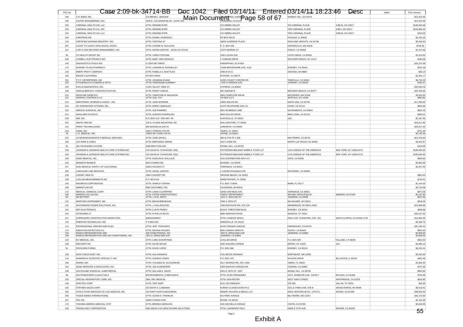| POC No     | Case 2:09-bk-34714-BB                                            |                                                                                             | Doc 1042  Filed 03/14/14  Entered 03/14/14  18:23:46  Desc |                                                  |                                          | Addr <sub>5</sub> | POC Amount                |
|------------|------------------------------------------------------------------|---------------------------------------------------------------------------------------------|------------------------------------------------------------|--------------------------------------------------|------------------------------------------|-------------------|---------------------------|
| 236        | C.R. BARD, INC.                                                  |                                                                                             |                                                            | MURRAY HILL, NJ 07974                            |                                          |                   | \$12,424.40               |
| 195        | CALPEC ENGINEERING, INC.                                         | CO BRIAN L. BURLEW COORADO BLVD., SUITE 250 Main Docume Comment Contral AVENID age 58 of 67 |                                                            |                                                  |                                          |                   | \$17,670.00               |
| 233        | CARDINAL HEALTH 200, LLC                                         | ATTN: DENENE BYRD                                                                           | C/O DEBRA WILLET                                           | 700 CARDINAL PLACE                               | DUBLIN, OH 43017                         |                   | \$195,044.38              |
| 234        | CARDINAL HEALTH 411, INC.                                        | ATTN: DENENE BYRD                                                                           | C/O DEBRA WILLET                                           | 7000 CARDINAL PLACE                              | DUBLI, OH 43017                          |                   | \$243,685.33              |
| 232        | CARDINAL HEALTH 414, LLC                                         | ATTN: DENENE BYRD                                                                           | C/O DEBRA WILLET                                           | 7000 CARDINAL PLACE                              | DUBLIN, OH 43017                         |                   | \$150.00                  |
| 184        | CARSTENS INC                                                     | ATTN: DANIEL INGERSOLL                                                                      | PO BOX 99110                                               | CHICAGO, IL 60693                                |                                          |                   | \$1,410.10                |
| 116        | CERTIFIED NURSING REGISTRY, INC.                                 | ATTN: CRISTINA SY                                                                           | 18826 ALDRIDGE PLACE                                       | ROWLAND HEIGHTS, CA 91748                        |                                          |                   | \$5,349.00                |
| 367        | COAST TO COAST UROLOGICAL ASSOC                                  | ATTN: IVONNE M. SULLIVON                                                                    | P.O. BOX 490                                               | CENTERVILLE, MA 02632                            |                                          |                   | \$765.69                  |
| 157        | COR-O-VAN RECORDS MANAGEMENT. INC                                | ATTN: IWONA SARTAN - JOCELYN STOCK                                                          | 12375 KERRAN ST.                                           | POWAY, CA 92064                                  |                                          |                   | \$1,137.6                 |
| 96         | CP HEALTH GROUP INC                                              | <b>ATTN: CHRIS FONTANA</b>                                                                  | 1365 LOGAN AVE                                             | COSTA MESA, CA 92626                             |                                          |                   | \$1,019.5                 |
| 225        | <b>CURBELL ELECTRONICS INC</b>                                   | ATTN: MARY ANN GRANICA                                                                      | 7 COBHAM DRIVE                                             | ORCHARD RANCH, NY 14127                          |                                          |                   | \$446.09                  |
| 145        | DIAGNOSTICA STAGO INC                                            | 5 CENTURY DRIVE                                                                             | PARSIPPANY, NJ 07054                                       |                                                  |                                          |                   | \$33,151.9                |
| 173        | DOWNEY PLAZA PHARMACY                                            | ATTN: LORAINE M. ROSKELLEY                                                                  | 11480 BROOKSHIRE AVE. #102                                 | DOWNEY, CA 90241                                 |                                          |                   | \$222.26                  |
| 125        | <b>EMERY PRATT COMPANY</b>                                       | ATTN: PAMELA A. SHATTUCK                                                                    | 1966 W M 21                                                | OWOSSO, MI 48867                                 |                                          |                   | \$50.10                   |
| 182<br>251 | <b>EMSAR CALIFORNIA</b><br>F.F.F. ENTERPRISES INC.               | PO BOX 93052<br>ATTN: JOHANNA EVANS                                                         | PHOENIX, AZ 85070<br>41093 COUNTY CENTER DR.               | TEMECULA, CA 92562                               |                                          |                   | \$1,552.17<br>\$6,735.25  |
| 229        | FITZGERALD'S FLOWERS & GIFTS                                     | ATTN: FERDINAND SUMABAY                                                                     | 7435 FLORENCE AVE.                                         | DOWNEY, CA 90240                                 |                                          |                   | \$185.47                  |
| 193        | FOCUS DIAGNOSTICS, INC.                                          | 11331 VALLEY VIEW ST                                                                        | CYPRESS, CA 90630                                          |                                                  |                                          |                   | \$43,093.16               |
| 108        | GARCIA-BENTLEY CONSTRUCTION INC.                                 | <b>ATTN: PENNY GARCIA</b>                                                                   | 640 AVENUE B                                               | REDONDO BEACH, CA 90277                          |                                          |                   | \$20,780.00               |
| 213        | <b>GENZYME GENETICS</b>                                          | ATTN: CHRISTINE M SADOWSKI                                                                  | 3400 COMPUTER DRIVE                                        | WESTBORO, MA 01581                               |                                          |                   | \$2,550.00                |
| 131<br>214 | <b>GRAPHIC CONTROLS LLC</b><br>GREATRAKE, MCBRIDE & ASSOC., INC. | ATTN: GAIL TOY<br>ATTN: JOAN MCBRIDE                                                        | PO BOX 1271<br>13881 MAUVE DR                              | BUFFALO, NY 14240<br>SANTA ANA, CA 92705         |                                          |                   | \$485.8<br>\$17,489.00    |
| 215        | HC INTEGRATED SYSTEMS, INC.                                      | ATTN: DARIO CAMZALEZ                                                                        | 14175 TELEPHONE AVE # E                                    | CHINO, CA 91710                                  |                                          |                   | \$565.0                   |
| 223        | HERZOG SURGICAL, INC                                             | ATTN: SUE RAMIREZ                                                                           | 5901 ROSEBUD LANE                                          | SACRAMENTO, CA 95841                             |                                          |                   | \$816.1                   |
| 212        | <b>HIGHLAND PLASTICS</b>                                         | ATTN: AURORA RODRIGUEZ                                                                      | 3650 DULLES DRIVE                                          | MIRA LOMA, CA 91752                              |                                          |                   | \$969.0                   |
| 135        | IMD, INC.                                                        | P.O. BOX 510 * 560 HWY 39                                                                   | HUNTSVILLE, UT 84317                                       | <b>USA</b>                                       |                                          |                   | \$2,167.50                |
| 252        | <b>INSITE ONE INC</b>                                            | 135 N. PLAINS INDUSTRIAL RD                                                                 | WALLINGFORD, CT 06492                                      |                                                  |                                          |                   | \$18,511.80               |
| 132        | <b>IPRINT TECHNOLOGIES</b>                                       | 980 MAGNOLIA AVE #5                                                                         | LARKSPUR, CA 94939                                         |                                                  |                                          |                   | \$25,507.00               |
| 134        | <b>IVANS, INC</b>                                                | 5405 CYPRESS CTR DF                                                                         | TAMPA, FL 33609                                            |                                                  |                                          |                   | \$761.40                  |
| 78         | J. R. MEDICAL, INC                                               | 18003 SKY PARK CIR #H                                                                       | IRVINE, CA 92614                                           |                                                  |                                          |                   | \$2,745.46                |
| 237<br>166 | JA NEURODIAGNOSTICS MEDICAL SERVICES<br>JCH WIRE & CABLE         | ATTN: JOSE ARVIZU<br>ATTN: MERCEDES SERNA                                                   | 468 W 4TH ST # 308<br>4527 LOSEE RD.                       | SAN PEDRO, CA 90731<br>NORTH LAS VEGAS, NV 89081 |                                          |                   | \$13,755.00<br>\$3,933.97 |
| 92         | JDL PACKAGING SYSTEM                                             | 2480 BRAYTON AVE                                                                            | SIGNAL HILL, CA 90755                                      |                                                  |                                          |                   | \$104.93                  |
| 239        | JOHNSON & JOHNSON HEALTH CARE SYSTEMS INC.                       | C/O DAVID W. DYKHOUSE, ESQ.                                                                 | PATTERSON BELKNAP WEBB & TYLER LLP                         | 1133 AVENUE OF THE AMERICAS                      | NEW YORK, NY 10036-6710                  |                   | \$185,069.00              |
| 240        | JOHNSON & JOHNSON HEALTH CARE SYSTEMS INC                        | C/O DAVID W. DYKHOUSE, ESQ.                                                                 | PATTERSON BELKNAP WEBB & TYLER LLP                         | 1133 AVENUE OF THE AMERICAS                      | NEW YORK, NY 10036-6710                  |                   | \$185,069.00              |
| 100        | KAND MEDICAL INC.                                                | ATTN: DUNCAN B. WALLACE                                                                     | 1341 DISTRIBUTION WAY #17                                  | VISTA, CA 92081                                  |                                          |                   | \$599.90                  |
| 154        | <b>KENNETH RASMUS</b>                                            | 8813 STAMPS RD                                                                              | DOWNEY, CA 90240                                           |                                                  |                                          |                   | \$2,860.00                |
| 247        | KING MEDICAL SUPPLY OF CALIFORNIA                                | 20816 HIGGINS CT                                                                            | TORRANCE, CA 90501                                         |                                                  |                                          |                   | \$2,047.00                |
| 300        | LANGUAGE LINE SERVICES                                           | ATTN: ANGEL SANTOS                                                                          | 1 LOWER RAGSDALE DR                                        | MONTEREY, CA 93940                               |                                          |                   |                           |
| 130        | LIFENET HEALTH                                                   | 1864 CONCERT DR.                                                                            | VIRGINIA BEACH, VA 23453                                   |                                                  |                                          |                   | \$863.50                  |
| 183        | LUDLUM MEASUREMENTS INC                                          | P.O. BOX 810                                                                                | SWEETWATER, TX 79556                                       |                                                  |                                          |                   | \$736.3                   |
| 140        | MACBRUD CORPORATION                                              | ATTN: SHIRLEY OSPINA                                                                        | P.O. BOX 770640                                            | MIAMI, FL 33177                                  |                                          |                   | \$1,144.00                |
| 158        | MARKETLAB INC.                                                   | 6850 SOUTHBELT DR.                                                                          | CALEDONIA, MI 49316                                        |                                                  |                                          |                   | \$3,724.08                |
| 172<br>230 | MEDICAL CHEMICAL CORP<br>MINDRAY DS USA INC                      | ATTN: I INDA CUI PEPPER<br>ATTN: PETER CHRISTOFOROU                                         | 19430 VAN NESS AVE<br><b>CREDIT DEPARTMENT</b>             | TORRANCE, CA 90501<br>300 MAC ARTHUR BLVD        | MAHWAH, NJ 07430                         |                   | \$972.08<br>\$2,147.90    |
| 85         | <b>MK BATTERY</b>                                                | ATTN: LYN B. SMITH                                                                          | 1631 S. SINCLAIR ST.                                       | ANAHEIM, CA 92806                                |                                          |                   | \$537.55                  |
| 122        | MORTARA INSTRUMENT, INC.                                         | ATTN: BRIAN BRENEGAN                                                                        | 7865 N. 86TH ST.                                           | MILWAUKEE, WI 53224                              |                                          |                   | \$918.39                  |
| 141        | NATIONWIDE POWER SOLUTIONS, INC.                                 | ATTN: J. HALLINGSTAD                                                                        | 7390 EASTGATE RD, STE 140                                  | HENDERSON, NV 89011-4024                         |                                          |                   | \$15,988.65               |
| 187        | NET ELECTRONICS                                                  | <b>ATTN: LLOYD PINSKY</b>                                                                   | 8224 E. FIRESTONE BLVD.                                    | DOWNEY, CA 90241                                 |                                          |                   | \$939.69                  |
| 220        | OSTEOMED LP                                                      | ATTN: R PHILLIP BOYD                                                                        | 3885 ARAPAHO ROAD                                          | ADDISON, TX 75001                                |                                          |                   | \$30,237.00               |
| 197        | OVERGAARD CONSTRUCTION INSPECTION                                | MANAGEMENT                                                                                  | ATTN: CANDICE SEALS                                        | 24911 AVE. STANFORD, STE. 104                    | SANTA CLARITA, CA 91355-1278             |                   | \$10,650.00               |
| 144        | PINESTAR TECHNOLOGY INC                                          | P O BOX 824                                                                                 | GREENVILLE, PA 16125                                       |                                                  |                                          |                   | \$2,339.75                |
| 114<br>175 | PROFESSIONAL INDEXES AND FILES<br>RADIATION DETECTION CO.        | ATTN: JEFF TICEHURST<br>ATTN: REGINA HOLDEN                                                 | 16102 ORANGE AVENUE<br>8095 CAMINO ARROYO                  | PARAMOUNT, CA 90723<br>GILROY, CA 95020          |                                          |                   | \$31,785.32<br>\$853.00   |
| 218        | RAMCO REFRIGERATION AND                                          | AIR CONDITIONING, INC.                                                                      | 3921 F. MIRAI OMA AVE                                      | ANAHEIM, CA 92806                                |                                          |                   | \$4,808.50                |
| 198        | RAMCO REFRIGERATION AND AIR CONDITIONING, INC                    | 3921 E. MIRALOMA AVE                                                                        | ANAHEIM, CA 92806                                          |                                                  |                                          |                   | \$4,808.50                |
| 133        | RC MEDICAL, INC.                                                 | ATTN: LARA SCHORTMAN                                                                        | 12 ELLEN DRIVE                                             | P.O. BOX 833                                     | TOLLAND, CT 06084                        |                   | \$391.60                  |
| 168        | REICHERT INC                                                     | ATTN: DAVID NOVAK                                                                           | 3362 WALDEN AVENUE                                         | DEPEW, NY 14043                                  | <b>USA</b>                               |                   | \$4,086.12                |
| 91         | ROCKVIEW FARMS                                                   | ATTN: DAVID LOPEZ                                                                           | P.O. BOX 668                                               | DOWNEY, CA 90241                                 |                                          |                   | \$8,225.41                |
| 153        | SAFE CHECK EAST, INC.                                            | ATTN: AVA KANARAS                                                                           | 2761 BIGGS HIGHWAY                                         | NORTHEAST, MD 21901                              |                                          |                   | \$2,330.00                |
| 118        | SHAMROCK SCIENTIFIC SPECIALTY INC.                               | ATTN: SHARON JONES                                                                          | P.O. BOX 143                                               | 34 DAVIS DRIVE                                   | BELLWOOD, IL 60104                       |                   | \$482.46                  |
| 196        | SHARN, INC.                                                      | ATTN: YOLANDA M. KILICHOWSKI                                                                | 4517 GEORGE RD, STE. #200                                  | <b>TAMPA, FL 33634</b>                           |                                          |                   | \$1,858.34                |
| 164        | SONO SERVICES & ASSOCIATES, INC.                                 | ATTN: JOE ALDENDIFER                                                                        | 2289 RANCHO CORONA DR.                                     | CORONA, CA 92882                                 |                                          |                   | \$747.00                  |
| 136        | SOUTHLAND SURGICAL LASER RENTAL                                  | ATTN: WILLIAM A. DAVIS                                                                      | 2301 E. 28TH ST. #307                                      | SIGNAL HILL, CA 90755                            |                                          |                   | \$950.00                  |
| 98         | SOUTHWESTERN CLEAN FUELS                                         | ENVIRONMENTAL COMPLIANCE                                                                    | ATTN: GLEN FERNANDEZ                                       | 125 E. WHEELER AVE., SUITE F                     | ARCADIA, CA 91006                        |                   | \$750.00                  |
| 105        | SPECIAL RESPIRATORY CARE, INC.                                   | DBA: SRC MEDICAL                                                                            | ATTN: DON REITER                                           | 18327 NAPA STREET                                | NORTHRIDGE, CA 91325<br>DALLAS, TX 75251 |                   | \$526.80                  |
| 148<br>155 | SPECTRA CORP<br>STRYKER SALES CORP.                              | ATTN: TERI HARP<br>C/O EDITH A. LANDMAN                                                     | 8131 LBJ FREEWAY<br>PURKEY & ASSOCIATES PLC                | <b>STE 360</b><br>2251 E. PARIS AVE; STE B       | GRAND RAPIDS, MI 49546                   |                   | \$92.69<br>\$5,018.41     |
| 205        | SYSCO FOOD SERVICES OF LOS ANGELES, INC.                         | C/O RAFFI KHATCHADOURIAN                                                                    | HEMAR, ROUSSO & HEALD, LLP                                 | 15910 VENTURA BLVD., 12TH FL.                    | ENCINO, CA 91436                         |                   | \$48,644.54               |
| 259        | TISSUE BANKS INTERNATIONAL                                       | ATTN: SUSAN E. FRANKLIN                                                                     | <b>815 PARK AVENUE</b>                                     | BALTIMORE, MD 21201                              |                                          |                   | \$42,175.00               |
| 167        | TMI, INC.                                                        | 18002 COWAN #200                                                                            | IRVINE, CA 92416                                           |                                                  |                                          |                   | \$1,142.39                |
| 174        | TOSHIBA AMERICA MEDICAL SYST                                     | ATTN: BRENDA NARAGON                                                                        | 2441 MICHELLE AVENUE                                       | TUSTIN, CA 92780                                 |                                          |                   | \$3,549.95                |
| 146        | TRANSLOGIC CORPORATION                                           | DBA SWISS LOG HEALTHCARE SOLUTIONS                                                          | ATTN: LAWRENCE PELO                                        | 10825 E 47TH AVE                                 | <b>DENVER, CO 80239</b>                  |                   | --                        |

Page 2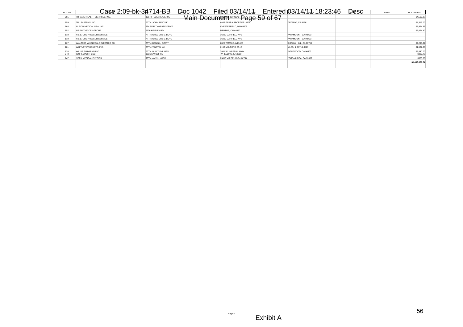| POC No | Case 2:09-bk-34714-BB          |                          | Doc 1042 |                                                 | Filed $03/14/14$ Entered $03/14/14$ , 18:23:46 | Desc | Addr <sub>5</sub> | POC Amount     |
|--------|--------------------------------|--------------------------|----------|-------------------------------------------------|------------------------------------------------|------|-------------------|----------------|
| 255    | TRI-ANIM HEALTH SERVICES. INC. | 13170 TELFAIR AVENUE     |          | Main Document <sup>CA 91342</sup> Page 59 of 67 |                                                |      |                   | \$4,500.27     |
|        |                                |                          |          |                                                 |                                                |      |                   |                |
| 159    | TRL SYSTEMS, INC.              | ATTN: JOHN JANOSIK       |          | 4405 EAST AIRPORT DR. #106                      | ONTARIO, CA 91761                              |      |                   | \$4,315.00     |
| 103    | ULRICH MEDICAL USA. INC.       | 754 SPIRIT 40 PARK DRIVE |          | CHESTERFIELD, MO 63005                          |                                                |      |                   | \$8,994.96     |
| 152    | US ENDOSCOPY GROUP             | 5976 HEISLEY RD          |          | <b>MENTOR, OH 44060</b>                         |                                                |      |                   | \$2,424.40     |
| 110    | V.S.S. COMPRESSOR SERVICE      | ATTN: GREGORY E. BOYD    |          | 16220 GARFIELD AVE                              | PARAMOUNT, CA 90723                            |      |                   |                |
| 110    | V.S.S. COMPRESSOR SERVICE      | ATTN: GREGORY E. BOYD    |          | 16220 GARFIELD AVE                              | PARAMOUNT, CA 90723                            |      |                   |                |
| 127    | WALTERS WHOLESALE ELECTRIC CO. | ATTN: DENIS L. EVERT     |          | 2825 TEMPLE AVENUE                              | SIGNALL HILL, CA 90755                         |      |                   | \$7,290.32     |
| 181    | WHITNEY PRODUCTS. INC.         | ATTN: VINAY SHAH         |          | 6153 MULFORD ST. C                              | NILES. IL 60714-3427                           |      |                   | \$1,537.20     |
| 138    | WILLIS PLUMBING INC.           | ATTN: WILLY PHILLIPS     |          | 3861 W. IMPERIAL HWY                            | NGLEWOOD, CA 90303                             |      |                   | \$5,840.00     |
| 248    | WORLDPOINT ECC                 | 1326 S WOLF RD           |          | WHEELING, IL 60090                              |                                                |      |                   | \$322.78       |
| 147    | YORK MEDICAL PHYSICS           | ATTN: AMY L. YORK        |          | 23810 VIA DEL RIO-UNIT B                        | YORBA LINDA, CA 92887                          |      |                   | \$555.00       |
|        |                                |                          |          |                                                 |                                                |      |                   | \$1,499,881.84 |
|        |                                |                          |          |                                                 |                                                |      |                   |                |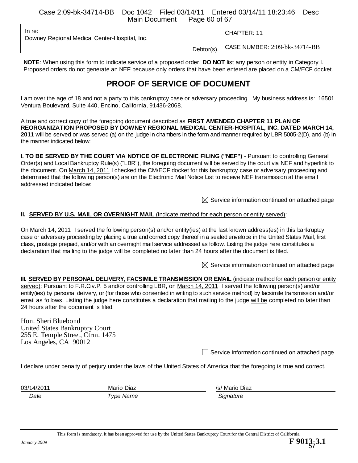Case 2:09-bk-34714-BB Doc 1042 Filed 03/14/11 Entered 03/14/11 18:23:46 Desc Main Document

| In re:<br>Downey Regional Medical Center-Hospital, Inc. | CHAPTER: 11                                |
|---------------------------------------------------------|--------------------------------------------|
|                                                         | Debtor(s).   CASE NUMBER: 2:09-bk-34714-BB |

**NOTE**: When using this form to indicate service of a proposed order, **DO NOT** list any person or entity in Category I. Proposed orders do not generate an NEF because only orders that have been entered are placed on a CM/ECF docket.

# **PROOF OF SERVICE OF DOCUMENT**

I am over the age of 18 and not a party to this bankruptcy case or adversary proceeding. My business address is: 16501 Ventura Boulevard, Suite 440, Encino, California, 91436-2068.

A true and correct copy of the foregoing document described as **FIRST AMENDED CHAPTER 11 PLAN OF REORGANIZATION PROPOSED BY DOWNEY REGIONAL MEDICAL CENTER-HOSPITAL, INC. DATED MARCH 14, 2011** will be served or was served (a) on the judge in chambers in the form and manner required by LBR 5005-2(D), and (b) in the manner indicated below:

**I. TO BE SERVED BY THE COURT VIA NOTICE OF ELECTRONIC FILING ("NEF")** - Pursuant to controlling General Order(s) and Local Bankruptcy Rule(s) ("LBR"), the foregoing document will be served by the court via NEF and hyperlink to the document. On March 14, 2011 I checked the CM/ECF docket for this bankruptcy case or adversary proceeding and determined that the following person(s) are on the Electronic Mail Notice List to receive NEF transmission at the email addressed indicated below:

 $\boxtimes$  Service information continued on attached page

# **II. SERVED BY U.S. MAIL OR OVERNIGHT MAIL** (indicate method for each person or entity served):

On March 14, 2011 I served the following person(s) and/or entity(ies) at the last known address(es) in this bankruptcy case or adversary proceeding by placing a true and correct copy thereof in a sealed envelope in the United States Mail, first class, postage prepaid, and/or with an overnight mail service addressed as follow. Listing the judge here constitutes a declaration that mailing to the judge will be completed no later than 24 hours after the document is filed.

 $\boxtimes$  Service information continued on attached page

**III. SERVED BY PERSONAL DELIVERY, FACSIMILE TRANSMISSION OR EMAIL (indicate method for each person or entity** served): Pursuant to F.R.Civ.P. 5 and/or controlling LBR, on March 14, 2011 I served the following person(s) and/or entity(ies) by personal delivery, or (for those who consented in writing to such service method) by facsimile transmission and/or email as follows. Listing the judge here constitutes a declaration that mailing to the judge will be completed no later than 24 hours after the document is filed.

Hon. Sheri Bluebond United States Bankruptcy Court 255 E. Temple Street, Ctrm. 1475 Los Angeles, CA 90012

 $\Box$  Service information continued on attached page

I declare under penalty of perjury under the laws of the United States of America that the foregoing is true and correct.

Date **Type Name** *Date* Signature

03/14/2011 Mario Diaz /s/ Mario Diaz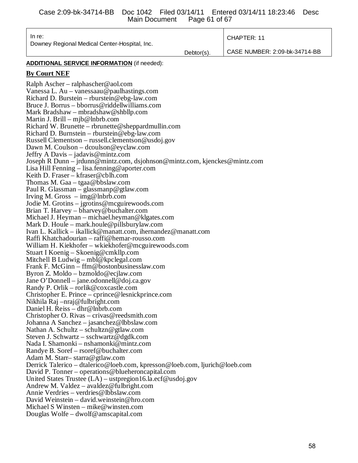| In re:<br>Downey Regional Medical Center-Hospital, Inc.                                                                                                                                                                                                                                                                                                                                                                                                                                                                                                                                                                                                                                                                                                                                                                                                                                                                                                                                                                                                                                                                                                                                                                                                                                                                                                                                                                                                                                                                                                                                                                                                                                                                                                                                                                                                                                                                                                                                                                                                                                                                                           |            | CHAPTER: 11                   |
|---------------------------------------------------------------------------------------------------------------------------------------------------------------------------------------------------------------------------------------------------------------------------------------------------------------------------------------------------------------------------------------------------------------------------------------------------------------------------------------------------------------------------------------------------------------------------------------------------------------------------------------------------------------------------------------------------------------------------------------------------------------------------------------------------------------------------------------------------------------------------------------------------------------------------------------------------------------------------------------------------------------------------------------------------------------------------------------------------------------------------------------------------------------------------------------------------------------------------------------------------------------------------------------------------------------------------------------------------------------------------------------------------------------------------------------------------------------------------------------------------------------------------------------------------------------------------------------------------------------------------------------------------------------------------------------------------------------------------------------------------------------------------------------------------------------------------------------------------------------------------------------------------------------------------------------------------------------------------------------------------------------------------------------------------------------------------------------------------------------------------------------------------|------------|-------------------------------|
|                                                                                                                                                                                                                                                                                                                                                                                                                                                                                                                                                                                                                                                                                                                                                                                                                                                                                                                                                                                                                                                                                                                                                                                                                                                                                                                                                                                                                                                                                                                                                                                                                                                                                                                                                                                                                                                                                                                                                                                                                                                                                                                                                   | Debtor(s). | CASE NUMBER: 2:09-bk-34714-BB |
| <b>ADDITIONAL SERVICE INFORMATION</b> (if needed):                                                                                                                                                                                                                                                                                                                                                                                                                                                                                                                                                                                                                                                                                                                                                                                                                                                                                                                                                                                                                                                                                                                                                                                                                                                                                                                                                                                                                                                                                                                                                                                                                                                                                                                                                                                                                                                                                                                                                                                                                                                                                                |            |                               |
| <b>By Court NEF</b>                                                                                                                                                                                                                                                                                                                                                                                                                                                                                                                                                                                                                                                                                                                                                                                                                                                                                                                                                                                                                                                                                                                                                                                                                                                                                                                                                                                                                                                                                                                                                                                                                                                                                                                                                                                                                                                                                                                                                                                                                                                                                                                               |            |                               |
| Ralph Ascher – ralphascher@aol.com<br>Vanessa L. Au – vanessaau@paulhastings.com<br>Richard D. Burstein – rburstein@ebg-law.com<br>Bruce J. Borrus - bborrus@riddellwilliams.com<br>Mark Bradshaw – mbradshaw@shbllp.com<br>Martin J. Brill – mjb@lnbrb.com<br>Richard W. Brunette – rbrunette@sheppardmullin.com<br>Richard D. Burnstein – rburstein@ebg-law.com<br>Russell Clementson – russell.clementson@usdoj.gov<br>Dawn M. Coulson - dcoulson@eyclaw.com<br>Jeffry A Davis – jadavis @mintz.com<br>Joseph R Dunn – jrdunn@mintz.com, dsjohnson@mintz.com, kjenckes@mintz.com<br>Lisa Hill Fenning – lisa. fenning @ aporter.com<br>Keith D. Fraser – kfraser@cblh.com<br>Thomas M. Gaa – tgaa@bbslaw.com<br>Paul R. Glassman – glassmanp@gtlaw.com<br>Irving M. Gross $-\text{img@lnbrb.com}$<br>Jodie M. Grotins – jgrotins@mcguirewoods.com<br>Brian T. Harvey – bharvey@buchalter.com<br>Michael J. Heyman – michael.heyman@klgates.com<br>Mark D. Houle – mark.houle@pillsburylaw.com<br>Ivan L. Kallick – ikallick@manatt.com, ihernandez@manatt.com<br>Raffi Khatchadourian – raffi@hemar-rousso.com<br>William H. Kiekhofer - wkiekhofer@mcguirewoods.com<br>Stuart I Koenig – Skoenig@cmkllp.com<br>Mitchell B Ludwig – mbl@kpclegal.com<br>Frank F. McGinn – ffm@bostonbusinesslaw.com<br>Byron Z. Moldo – bzmoldo@ecjlaw.com<br>Jane O'Donnell – jane.odonnell@doj.ca.gov<br>Randy P. Orlik – rorlik@coxcastle.com<br>Christopher E. Prince – cprince $@$ lesnickprince.com<br>Nikhila Raj – nraj@fulbright.com<br>Daniel H. Reiss $-\mathrm{dhr}@\mathrm{Inbrb.com}$<br>Christopher O. Rivas – crivas@reedsmith.com<br>Johanna A Sanchez – jasanchez@lbbslaw.com<br>Nathan A. Schultz – schultzn@gtlaw.com<br>Steven J. Schwartz – sschwartz@dgdk.com<br>Nada I. Shamonki – nshamonki@mintz.com<br>Randye B. Soref - rsoref@buchalter.com<br>Adam M. Starr-starra@gtlaw.com<br>Derrick Talerico – dtalerico@loeb.com, kpresson@loeb.com, ljurich@loeb.com<br>David P. Tonner – operations @ blueheroncapital.com<br>United States Trustee $(LA)$ – ustpregion 16. la. ecf@usdoj.gov<br>Andrew M. Valdez – avaldez@fulbright.com |            |                               |
| Annie Verdries – verdries@lbbslaw.com<br>David Weinstein - david.weinstein@hro.com                                                                                                                                                                                                                                                                                                                                                                                                                                                                                                                                                                                                                                                                                                                                                                                                                                                                                                                                                                                                                                                                                                                                                                                                                                                                                                                                                                                                                                                                                                                                                                                                                                                                                                                                                                                                                                                                                                                                                                                                                                                                |            |                               |
| Michael S Winsten – mike@winsten.com<br>Douglas Wolfe – dwolf@amscapital.com                                                                                                                                                                                                                                                                                                                                                                                                                                                                                                                                                                                                                                                                                                                                                                                                                                                                                                                                                                                                                                                                                                                                                                                                                                                                                                                                                                                                                                                                                                                                                                                                                                                                                                                                                                                                                                                                                                                                                                                                                                                                      |            |                               |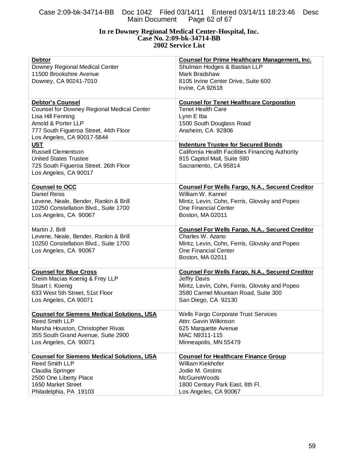# Case 2:09-bk-34714-BB Doc 1042 Filed 03/14/11 Entered 03/14/11 18:23:46 Desc Main Document

#### **In re Downey Regional Medical Center-Hospital, Inc. Case No. 2:09-bk-34714-BB 2002 Service List**

| <b>Debtor</b><br>Downey Regional Medical Center     | <b>Counsel for Prime Healthcare Management, Inc.</b><br>Shulman Hodges & Bastian LLP  |
|-----------------------------------------------------|---------------------------------------------------------------------------------------|
| 11500 Brookshire Avenue                             | Mark Bradshaw                                                                         |
| Downey, CA 90241-7010                               | 8105 Irvine Center Drive, Suite 600                                                   |
|                                                     | Irvine, CA 92618                                                                      |
|                                                     |                                                                                       |
| <b>Debtor's Counsel</b>                             | <b>Counsel for Tenet Healthcare Corporation</b>                                       |
| Counsel for Downey Regional Medical Center          | <b>Tenet Health Care</b>                                                              |
| Lisa Hill Fenning                                   | Lynn E Iba                                                                            |
| Arnold & Porter LLP                                 | 1500 South Douglass Road                                                              |
| 777 South Figueroa Street, 44th Floor               | Anaheim, CA 92806                                                                     |
| Los Angeles, CA 90017-5844                          |                                                                                       |
| <b>UST</b><br><b>Russell Clementson</b>             | <b>Indenture Trustee for Secured Bonds</b>                                            |
| <b>United States Trustee</b>                        | California Health Facilities Financing Authority<br>915 Capitol Mall, Suite 590       |
| 725 South Figueroa Street. 26th Floor               | Sacramento, CA 95814                                                                  |
| Los Angeles, CA 90017                               |                                                                                       |
|                                                     |                                                                                       |
| <b>Counsel to OCC</b>                               | <b>Counsel For Wells Fargo, N.A., Secured Creditor</b>                                |
| <b>Daniel Reiss</b>                                 | William W. Kannel                                                                     |
| Levene, Neale, Bender, Rankin & Brill               | Mintz, Levin, Cohn, Ferris, Glovsky and Popeo                                         |
| 10250 Constellation Blvd., Suite 1700               | <b>One Financial Center</b>                                                           |
| Los Angeles, CA 90067                               | Boston, MA 02011                                                                      |
|                                                     |                                                                                       |
|                                                     |                                                                                       |
| Martin J. Brill                                     | <b>Counsel For Wells Fargo, N.A., Secured Creditor</b>                                |
| Levene, Neale, Bender, Rankin & Brill               | Charles W. Azano                                                                      |
| 10250 Constellation Blvd., Suite 1700               | Mintz, Levin, Cohn, Ferris, Glovsky and Popeo                                         |
| Los Angeles, CA 90067                               | One Financial Center                                                                  |
|                                                     | Boston, MA 02011                                                                      |
|                                                     |                                                                                       |
| <b>Counsel for Blue Cross</b>                       | <b>Counsel For Wells Fargo, N.A., Secured Creditor</b>                                |
| Creim Macias Koenig & Frey LLP                      | Jeffry Davis                                                                          |
| Stuart I. Koenig<br>633 West 5th Street, 51st Floor | Mintz, Levin, Cohn, Ferris, Glovsky and Popeo<br>3580 Carmel Mountain Road, Suite 300 |
| Los Angeles, CA 90071                               | San Diego, CA 92130                                                                   |
|                                                     |                                                                                       |
| <b>Counsel for Siemens Medical Solutions, USA</b>   | Wells Fargo Corporate Trust Services                                                  |
| Reed Smith LLP                                      | Attn: Gavin Wilkinson                                                                 |
| Marsha Houston, Christopher Rivas                   | 625 Marquette Avenue                                                                  |
| 355 South Grand Avenue, Suite 2900                  | MAC N9311-115                                                                         |
| Los Angeles, CA 90071                               | Minneapolis, MN 55479                                                                 |
|                                                     |                                                                                       |
| <b>Counsel for Siemens Medical Solutions, USA</b>   | <b>Counsel for Healthcare Finance Group</b>                                           |
| <b>Reed Smith LLP</b>                               | <b>William Kiekhofer</b><br>Jodie M. Grotins                                          |
| Claudia Springer                                    |                                                                                       |
| 2500 One Liberty Place<br>1650 Market Street        | <b>McGuireWoods</b><br>1800 Century Park East, 8th Fl.                                |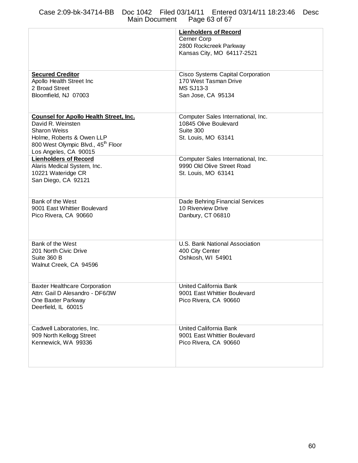|                                                                                                                                                                                                   | <b>Lienholders of Record</b><br>Cerner Corp<br>2800 Rockcreek Parkway<br>Kansas City, MO 64117-2521  |
|---------------------------------------------------------------------------------------------------------------------------------------------------------------------------------------------------|------------------------------------------------------------------------------------------------------|
| <b>Secured Creditor</b><br>Apollo Health Street Inc<br>2 Broad Street<br>Bloomfield, NJ 07003                                                                                                     | Cisco Systems Capital Corporation<br>170 West Tasman Drive<br><b>MS SJ13-3</b><br>San Jose, CA 95134 |
| <b>Counsel for Apollo Health Street, Inc.</b><br>David R. Weinsten<br><b>Sharon Weiss</b><br>Holme, Roberts & Owen LLP<br>800 West Olympic Blvd., 45 <sup>th</sup> Floor<br>Los Angeles, CA 90015 | Computer Sales International, Inc.<br>10845 Olive Boulevard<br>Suite 300<br>St. Louis, MO 63141      |
| <b>Lienholders of Record</b><br>Alaris Medical System, Inc.<br>10221 Wateridge CR<br>San Diego, CA 92121                                                                                          | Computer Sales International, Inc.<br>9990 Old Olive Street Road<br>St. Louis, MO 63141              |
| Bank of the West<br>9001 East Whittier Boulevard<br>Pico Rivera, CA 90660                                                                                                                         | Dade Behring Financial Services<br>10 Riverview Drive<br>Danbury, CT 06810                           |
| Bank of the West<br>201 North Civic Drive<br>Suite 360 B<br>Walnut Creek, CA 94596                                                                                                                | U.S. Bank National Association<br>400 City Center<br>Oshkosh, WI 54901                               |
| <b>Baxter Healthcare Corporation</b><br>Attn: Gail D Alesandro - DF6/3W<br>One Baxter Parkway<br>Deerfield, IL 60015                                                                              | United California Bank<br>9001 East Whittier Boulevard<br>Pico Rivera, CA 90660                      |
| Cadwell Laboratories, Inc.<br>909 North Kellogg Street<br>Kennewick, WA 99336                                                                                                                     | United California Bank<br>9001 East Whittier Boulevard<br>Pico Rivera, CA 90660                      |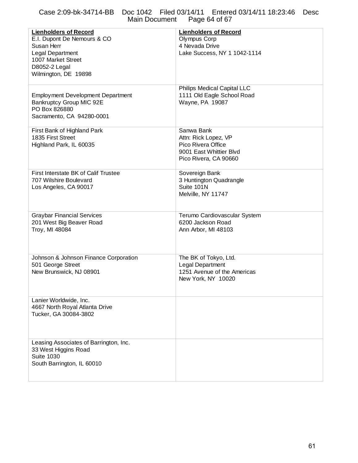| <b>Lienholders of Record</b><br>E.I. Dupont De Nemours & CO<br>Susan Herr<br>Legal Department<br>1007 Market Street<br>D8052-2 Legal<br>Wilmington, DE 19898 | <b>Lienholders of Record</b><br>Olympus Corp<br>4 Nevada Drive<br>Lake Success, NY 1 1042-1114<br>Philips Medical Capital LLC |
|--------------------------------------------------------------------------------------------------------------------------------------------------------------|-------------------------------------------------------------------------------------------------------------------------------|
| <b>Employment Development Department</b><br>Bankruptcy Group MIC 92E<br>PO Box 826880<br>Sacramento, CA 94280-0001                                           | 1111 Old Eagle School Road<br>Wayne, PA 19087                                                                                 |
| First Bank of Highland Park<br>1835 First Street<br>Highland Park, IL 60035                                                                                  | Sanwa Bank<br>Attn: Rick Lopez, VP<br>Pico Rivera Office<br>9001 East Whittier Blvd<br>Pico Rivera, CA 90660                  |
| First Interstate BK of Calif Trustee<br>707 Wilshire Boulevard<br>Los Angeles, CA 90017                                                                      | Sovereign Bank<br>3 Huntington Quadrangle<br>Suite 101N<br>Melville, NY 11747                                                 |
| <b>Graybar Financial Services</b><br>201 West Big Beaver Road<br>Troy, MI 48084                                                                              | Terumo Cardiovascular System<br>6200 Jackson Road<br>Ann Arbor, MI 48103                                                      |
| Johnson & Johnson Finance Corporation<br>501 George Street<br>New Brunswick, NJ 08901                                                                        | The BK of Tokyo, Ltd.<br>Legal Department<br>1251 Avenue of the Americas<br>New York, NY 10020                                |
| Lanier Worldwide, Inc.<br>4667 North Royal Atlanta Drive<br>Tucker, GA 30084-3802                                                                            |                                                                                                                               |
| Leasing Associates of Barrington, Inc.<br>33 West Higgins Road<br><b>Suite 1030</b><br>South Barrington, IL 60010                                            |                                                                                                                               |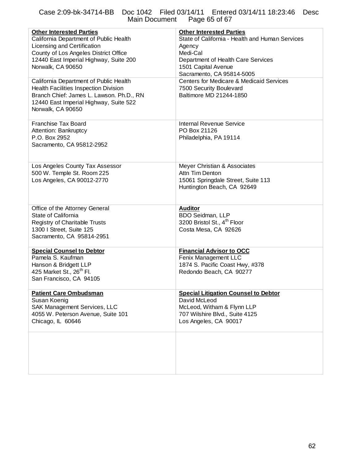| <b>Other Interested Parties</b><br>California Department of Public Health<br>Licensing and Certification                                                                                   | <b>Other Interested Parties</b><br>State of California - Health and Human Services<br>Agency                                                         |
|--------------------------------------------------------------------------------------------------------------------------------------------------------------------------------------------|------------------------------------------------------------------------------------------------------------------------------------------------------|
| County of Los Angeles District Office<br>12440 East Imperial Highway, Suite 200<br>Norwalk, CA 90650                                                                                       | Medi-Cal<br>Department of Health Care Services<br>1501 Capital Avenue<br>Sacramento, CA 95814-5005                                                   |
| California Department of Public Health<br>Health Facilities Inspection Division<br>Branch Chief: James L. Lawson. Ph.D., RN<br>12440 East Imperial Highway, Suite 522<br>Norwalk, CA 90650 | <b>Centers for Medicare &amp; Medicaid Services</b><br>7500 Security Boulevard<br>Baltimore MD 21244-1850                                            |
| <b>Franchise Tax Board</b><br>Attention: Bankruptcy<br>P.O. Box 2952<br>Sacramento, CA 95812-2952                                                                                          | <b>Internal Revenue Service</b><br>PO Box 21126<br>Philadelphia, PA 19114                                                                            |
| Los Angeles County Tax Assessor<br>500 W. Temple St. Room 225<br>Los Angeles, CA 90012-2770                                                                                                | Meyer Christian & Associates<br>Attn Tim Denton<br>15061 Springdale Street, Suite 113<br>Huntington Beach, CA 92649                                  |
| Office of the Attorney General<br>State of California<br>Registry of Charitable Trusts<br>1300   Street, Suite 125<br>Sacramento, CA 95814-2951                                            | <b>Auditor</b><br><b>BDO Seidman, LLP</b><br>3200 Bristol St., 4 <sup>th</sup> Floor<br>Costa Mesa, CA 92626                                         |
| <b>Special Counsel to Debtor</b><br>Pamela S. Kaufman<br>Hanson & Bridgett LLP<br>425 Market St., 26 <sup>th</sup> Fl.<br>San Francisco, CA 94105                                          | <b>Financial Advisor to OCC</b><br>Fenix Management LLC<br>1874 S. Pacific Coast Hwy, #378<br>Redondo Beach, CA 90277                                |
| <b>Patient Care Ombudsman</b><br>Susan Koenig<br><b>SAK Management Services, LLC</b><br>4055 W. Peterson Avenue, Suite 101<br>Chicago, IL 60646                                            | <b>Special Litigation Counsel to Debtor</b><br>David McLeod<br>McLeod, Witham & Flynn LLP<br>707 Wilshire Blvd., Suite 4125<br>Los Angeles, CA 90017 |
|                                                                                                                                                                                            |                                                                                                                                                      |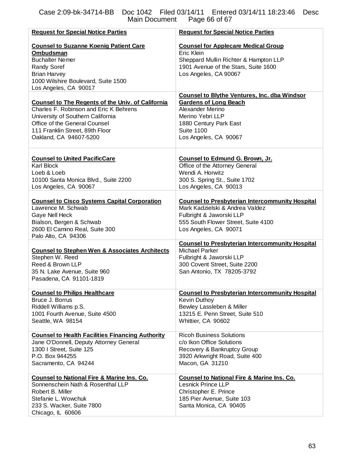Case 2:09-bk-34714-BB Doc 1042 Filed 03/14/11 Entered 03/14/11 18:23:46 Desc Main Document Page 66 of 67

| <b>Request for Special Notice Parties</b>                                                                                                                                                                                             | <b>Request for Special Notice Parties</b>                                                                                                                                                           |
|---------------------------------------------------------------------------------------------------------------------------------------------------------------------------------------------------------------------------------------|-----------------------------------------------------------------------------------------------------------------------------------------------------------------------------------------------------|
| <b>Counsel to Suzanne Koenig Patient Care</b><br>Ombudsman<br><b>Buchalter Nemer</b><br><b>Randy Soref</b><br><b>Brian Harvey</b><br>1000 Wilshire Boulevard, Suite 1500<br>Los Angeles, CA 90017                                     | <b>Counsel for Applecare Medical Group</b><br>Eric Klein<br>Sheppard Mullin Richter & Hampton LLP<br>1901 Avenue of the Stars, Suite 1600<br>Los Angeles, CA 90067                                  |
| <b>Counsel to The Regents of the Univ. of California</b><br>Charles F. Robinson and Eric K Behrens<br>University of Southern California<br>Office of the General Counsel<br>111 Franklin Street, 89th Floor<br>Oakland, CA 94607-5200 | <b>Counsel to Blythe Ventures, Inc. dba Windsor</b><br><b>Gardens of Long Beach</b><br>Alexander Merino<br>Merino Yebri LLP<br>1880 Century Park East<br><b>Suite 1100</b><br>Los Angeles, CA 90067 |
| <b>Counsel to United PacificCare</b><br>Karl Block<br>Loeb & Loeb<br>10100 Santa Monica Blvd., Suite 2200<br>Los Angeles, CA 90067                                                                                                    | Counsel to Edmund G. Brown, Jr.<br>Office of the Attorney General<br>Wendi A. Horwitz<br>300 S. Spring St., Suite 1702<br>Los Angeles, CA 90013                                                     |
| <b>Counsel to Cisco Systems Capital Corporation</b><br>Lawrence M. Schwab<br>Gaye Nell Heck<br>Bialson, Bergen & Schwab<br>2600 El Camino Real, Suite 300<br>Palo Alto, CA 94306                                                      | <b>Counsel to Presbyterian Intercommunity Hospital</b><br>Mark Kadzielski & Andrea Valdez<br>Fulbright & Jaworski LLP<br>555 South Flower Street, Suite 4100<br>Los Angeles, CA 90071               |
| <b>Counsel to Stephen Wen &amp; Associates Architects</b><br>Stephen W. Reed<br>Reed & Brown LLP<br>35 N. Lake Avenue, Suite 960<br>Pasadena, CA 91101-1819                                                                           | <b>Counsel to Presbyterian Intercommunity Hospital</b><br>Michael Parker<br>Fulbright & Jaworski LLP<br>300 Covent Street, Suite 2200<br>San Antonio, TX 78205-3792                                 |
| <b>Counsel to Philips Healthcare</b><br>Bruce J. Borrus<br>Riddell Williams p.S.<br>1001 Fourth Avenue, Suite 4500<br>Seattle, WA 98154                                                                                               | <b>Counsel to Presbyterian Intercommunity Hospital</b><br>Kevin Duthoy<br>Bewley Lassleben & Miller<br>13215 E. Penn Street, Suite 510<br>Whittier, CA 90602                                        |
| <b>Counsel to Health Facilities Financing Authority</b><br>Jane O'Donnell, Deputy Attorney General<br>1300   Street, Suite 125<br>P.O. Box 944255<br>Sacramento, CA 94244                                                             | <b>Ricoh Business Solutions</b><br>c/o Ikon Office Solutions<br>Recovery & Bankruptcy Group<br>3920 Arkwright Road, Suite 400<br>Macon, GA 31210                                                    |
| <b>Counsel to National Fire &amp; Marine Ins. Co.</b><br>Sonnenschein Nath & Rosenthal LLP<br>Robert B. Miller<br>Stefanie L. Wowchuk<br>233 S. Wacker, Suite 7800<br>Chicago, IL 60606                                               | <b>Counsel to National Fire &amp; Marine Ins. Co.</b><br>Lesnick Prince LLP<br>Christopher E. Prince<br>185 Pier Avenue, Suite 103<br>Santa Monica, CA 90405                                        |